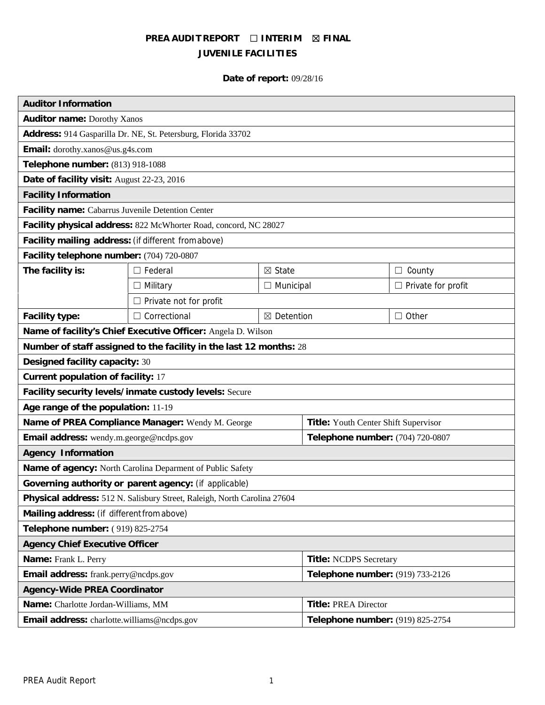# **PREA AUDIT REPORT ☐ INTERIM ☒ FINAL JUVENILE FACILITIES**

# **Date of report:** 09/28/16

| <b>Auditor Information</b>                                               |                               |                   |                                      |                           |
|--------------------------------------------------------------------------|-------------------------------|-------------------|--------------------------------------|---------------------------|
| Auditor name: Dorothy Xanos                                              |                               |                   |                                      |                           |
| Address: 914 Gasparilla Dr. NE, St. Petersburg, Florida 33702            |                               |                   |                                      |                           |
| Email: dorothy.xanos@us.g4s.com                                          |                               |                   |                                      |                           |
| Telephone number: (813) 918-1088                                         |                               |                   |                                      |                           |
| Date of facility visit: August 22-23, 2016                               |                               |                   |                                      |                           |
| <b>Facility Information</b>                                              |                               |                   |                                      |                           |
| Facility name: Cabarrus Juvenile Detention Center                        |                               |                   |                                      |                           |
| Facility physical address: 822 McWhorter Road, concord, NC 28027         |                               |                   |                                      |                           |
| Facility mailing address: (if different fromabove)                       |                               |                   |                                      |                           |
| Facility telephone number: (704) 720-0807                                |                               |                   |                                      |                           |
| The facility is:                                                         | $\Box$ Federal                | $\boxtimes$ State |                                      | $\Box$ County             |
|                                                                          | $\Box$ Military               | $\Box$ Municipal  |                                      | $\Box$ Private for profit |
|                                                                          | $\Box$ Private not for profit |                   |                                      |                           |
| Facility type:                                                           | $\Box$ Correctional           | ⊠ Detention       |                                      | $\Box$ Other              |
| Name of facility's Chief Executive Officer: Angela D. Wilson             |                               |                   |                                      |                           |
| Number of staff assigned to the facility in the last 12 months: 28       |                               |                   |                                      |                           |
| Designed facility capacity: 30                                           |                               |                   |                                      |                           |
| Current population of facility: 17                                       |                               |                   |                                      |                           |
| Facility security levels/inmate custody levels: Secure                   |                               |                   |                                      |                           |
| Age range of the population: 11-19                                       |                               |                   |                                      |                           |
| Name of PREA Compliance Manager: Wendy M. George                         |                               |                   | Title: Youth Center Shift Supervisor |                           |
| Email address: wendy.m.george@ncdps.gov                                  |                               |                   | Telephone number: (704) 720-0807     |                           |
| Agency Information                                                       |                               |                   |                                      |                           |
| Name of agency: North Carolina Deparment of Public Safety                |                               |                   |                                      |                           |
| Governing authority or parent agency: (if applicable)                    |                               |                   |                                      |                           |
| Physical address: 512 N. Salisbury Street, Raleigh, North Carolina 27604 |                               |                   |                                      |                           |
| Mailing address: (if different from above)                               |                               |                   |                                      |                           |
| Telephone number: (919) 825-2754                                         |                               |                   |                                      |                           |
| Agency Chief Executive Officer                                           |                               |                   |                                      |                           |
| Name: Frank L. Perry                                                     |                               |                   | Title: NCDPS Secretary               |                           |
| Email address: frank.perry@ncdps.gov                                     |                               |                   | Telephone number: (919) 733-2126     |                           |
| Agency-Wide PREA Coordinator                                             |                               |                   |                                      |                           |
| Name: Charlotte Jordan-Williams, MM                                      |                               |                   | Title: PREA Director                 |                           |
| Email address: charlotte.williams@ncdps.gov                              |                               |                   | Telephone number: (919) 825-2754     |                           |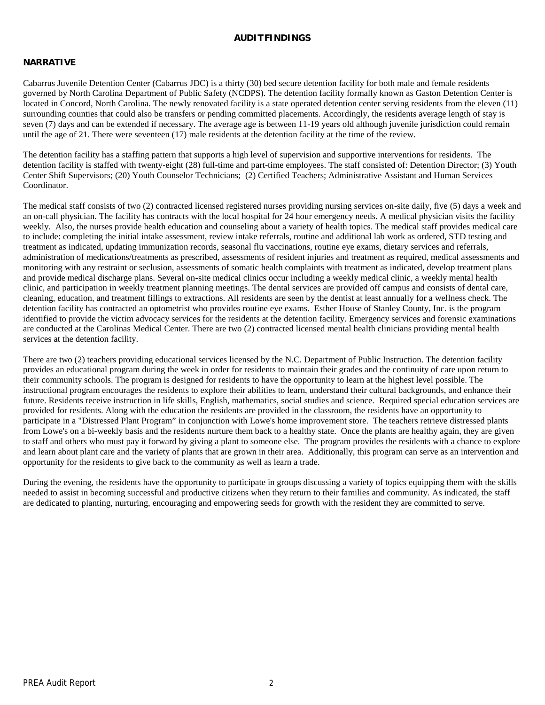#### **AUDITFINDINGS**

#### **NARRATIVE**

Cabarrus Juvenile Detention Center (Cabarrus JDC) is a thirty (30) bed secure detention facility for both male and female residents governed by North Carolina Department of Public Safety (NCDPS). The detention facility formally known as Gaston Detention Center is located in Concord, North Carolina. The newly renovated facility is a state operated detention center serving residents from the eleven (11) surrounding counties that could also be transfers or pending committed placements. Accordingly, the residents average length of stay is seven (7) days and can be extended if necessary. The average age is between 11-19 years old although juvenile jurisdiction could remain until the age of 21. There were seventeen (17) male residents at the detention facility at the time of the review.

The detention facility has a staffing pattern that supports a high level of supervision and supportive interventions for residents. The detention facility is staffed with twenty-eight (28) full-time and part-time employees. The staff consisted of: Detention Director; (3) Youth Center Shift Supervisors; (20) Youth Counselor Technicians; (2) Certified Teachers; Administrative Assistant and Human Services Coordinator.

The medical staff consists of two (2) contracted licensed registered nurses providing nursing services on-site daily, five (5) days a week and an on-call physician. The facility has contracts with the local hospital for 24 hour emergency needs. A medical physician visits the facility weekly. Also, the nurses provide health education and counseling about a variety of health topics. The medical staff provides medical care to include: completing the initial intake assessment, review intake referrals, routine and additional lab work as ordered, STD testing and treatment as indicated, updating immunization records, seasonal flu vaccinations, routine eye exams, dietary services and referrals, administration of medications/treatments as prescribed, assessments of resident injuries and treatment as required, medical assessments and monitoring with any restraint or seclusion, assessments of somatic health complaints with treatment as indicated, develop treatment plans and provide medical discharge plans. Several on-site medical clinics occur including a weekly medical clinic, a weekly mental health clinic, and participation in weekly treatment planning meetings. The dental services are provided off campus and consists of dental care, cleaning, education, and treatment fillings to extractions. All residents are seen by the dentist at least annually for a wellness check. The detention facility has contracted an optometrist who provides routine eye exams. Esther House of Stanley County, Inc. is the program identified to provide the victim advocacy services for the residents at the detention facility. Emergency services and forensic examinations are conducted at the Carolinas Medical Center. There are two (2) contracted licensed mental health clinicians providing mental health services at the detention facility.

There are two (2) teachers providing educational services licensed by the N.C. Department of Public Instruction. The detention facility provides an educational program during the week in order for residents to maintain their grades and the continuity of care upon return to their community schools. The program is designed for residents to have the opportunity to learn at the highest level possible. The instructional program encourages the residents to explore their abilities to learn, understand their cultural backgrounds, and enhance their future. Residents receive instruction in life skills, English, mathematics, social studies and science. Required special education services are provided for residents. Along with the education the residents are provided in the classroom, the residents have an opportunity to participate in a "Distressed Plant Program" in conjunction with Lowe's home improvement store. The teachers retrieve distressed plants from Lowe's on a bi-weekly basis and the residents nurture them back to a healthy state. Once the plants are healthy again, they are given to staff and others who must pay it forward by giving a plant to someone else. The program provides the residents with a chance to explore and learn about plant care and the variety of plants that are grown in their area. Additionally, this program can serve as an intervention and opportunity for the residents to give back to the community as well as learn a trade.

During the evening, the residents have the opportunity to participate in groups discussing a variety of topics equipping them with the skills needed to assist in becoming successful and productive citizens when they return to their families and community. As indicated, the staff are dedicated to planting, nurturing, encouraging and empowering seeds for growth with the resident they are committed to serve.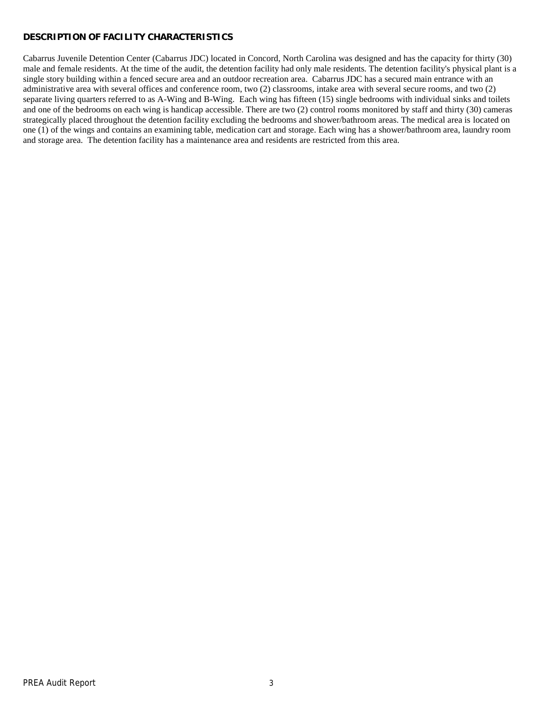# **DESCRIPTION OF FACILITY CHARACTERISTICS**

Cabarrus Juvenile Detention Center (Cabarrus JDC) located in Concord, North Carolina was designed and has the capacity for thirty (30) male and female residents. At the time of the audit, the detention facility had only male residents. The detention facility's physical plant is a single story building within a fenced secure area and an outdoor recreation area. Cabarrus JDC has a secured main entrance with an administrative area with several offices and conference room, two (2) classrooms, intake area with several secure rooms, and two (2) separate living quarters referred to as A-Wing and B-Wing. Each wing has fifteen (15) single bedrooms with individual sinks and toilets and one of the bedrooms on each wing is handicap accessible. There are two (2) control rooms monitored by staff and thirty (30) cameras strategically placed throughout the detention facility excluding the bedrooms and shower/bathroom areas. The medical area is located on one (1) of the wings and contains an examining table, medication cart and storage. Each wing has a shower/bathroom area, laundry room and storage area. The detention facility has a maintenance area and residents are restricted from this area.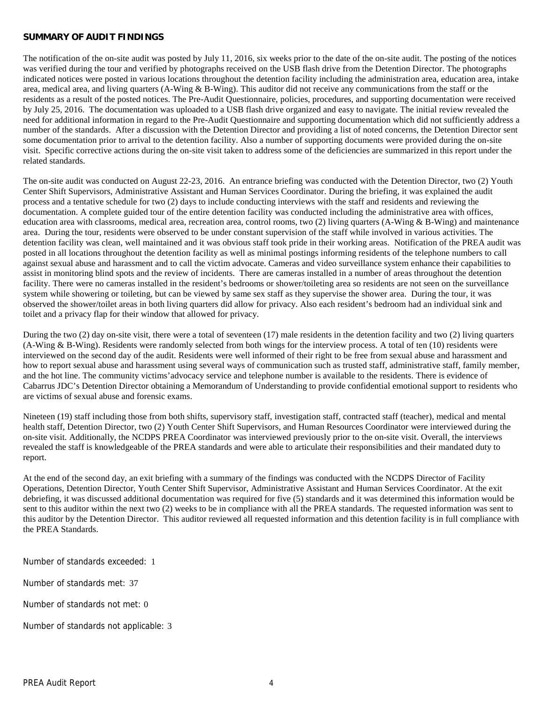#### **SUMMARY OF AUDIT FINDINGS**

The notification of the on-site audit was posted by July 11, 2016, six weeks prior to the date of the on-site audit. The posting of the notices was verified during the tour and verified by photographs received on the USB flash drive from the Detention Director. The photographs indicated notices were posted in various locations throughout the detention facility including the administration area, education area, intake area, medical area, and living quarters (A-Wing & B-Wing). This auditor did not receive any communications from the staff or the residents as a result of the posted notices. The Pre-Audit Questionnaire, policies, procedures, and supporting documentation were received by July 25, 2016. The documentation was uploaded to a USB flash drive organized and easy to navigate. The initial review revealed the need for additional information in regard to the Pre-Audit Questionnaire and supporting documentation which did not sufficiently address a number of the standards. After a discussion with the Detention Director and providing a list of noted concerns, the Detention Director sent some documentation prior to arrival to the detention facility. Also a number of supporting documents were provided during the on-site visit. Specific corrective actions during the on-site visit taken to address some of the deficiencies are summarized in this report under the related standards.

The on-site audit was conducted on August 22-23, 2016. An entrance briefing was conducted with the Detention Director, two (2) Youth Center Shift Supervisors, Administrative Assistant and Human Services Coordinator. During the briefing, it was explained the audit process and a tentative schedule for two (2) days to include conducting interviews with the staff and residents and reviewing the documentation. A complete guided tour of the entire detention facility was conducted including the administrative area with offices, education area with classrooms, medical area, recreation area, control rooms, two (2) living quarters (A-Wing & B-Wing) and maintenance area. During the tour, residents were observed to be under constant supervision of the staff while involved in various activities. The detention facility was clean, well maintained and it was obvious staff took pride in their working areas. Notification of the PREA audit was posted in all locations throughout the detention facility as well as minimal postings informing residents of the telephone numbers to call against sexual abuse and harassment and to call the victim advocate. Cameras and video surveillance system enhance their capabilities to assist in monitoring blind spots and the review of incidents. There are cameras installed in a number of areas throughout the detention facility. There were no cameras installed in the resident's bedrooms or shower/toileting area so residents are not seen on the surveillance system while showering or toileting, but can be viewed by same sex staff as they supervise the shower area. During the tour, it was observed the shower/toilet areas in both living quarters did allow for privacy. Also each resident's bedroom had an individual sink and toilet and a privacy flap for their window that allowed for privacy.

During the two (2) day on-site visit, there were a total of seventeen (17) male residents in the detention facility and two (2) living quarters (A-Wing & B-Wing). Residents were randomly selected from both wings for the interview process. A total of ten (10) residents were interviewed on the second day of the audit. Residents were well informed of their right to be free from sexual abuse and harassment and how to report sexual abuse and harassment using several ways of communication such as trusted staff, administrative staff, family member, and the hot line. The community victims'advocacy service and telephone number is available to the residents. There is evidence of Cabarrus JDC's Detention Director obtaining a Memorandum of Understanding to provide confidential emotional support to residents who are victims of sexual abuse and forensic exams.

Nineteen (19) staff including those from both shifts, supervisory staff, investigation staff, contracted staff (teacher), medical and mental health staff, Detention Director, two (2) Youth Center Shift Supervisors, and Human Resources Coordinator were interviewed during the on-site visit. Additionally, the NCDPS PREA Coordinator was interviewed previously prior to the on-site visit. Overall, the interviews revealed the staff is knowledgeable of the PREA standards and were able to articulate their responsibilities and their mandated duty to report.

At the end of the second day, an exit briefing with a summary of the findings was conducted with the NCDPS Director of Facility Operations, Detention Director, Youth Center Shift Supervisor, Administrative Assistant and Human Services Coordinator. At the exit debriefing, it was discussed additional documentation was required for five (5) standards and it was determined this information would be sent to this auditor within the next two (2) weeks to be in compliance with all the PREA standards. The requested information was sent to this auditor by the Detention Director. This auditor reviewed all requested information and this detention facility is in full compliance with the PREA Standards.

Number of standards exceeded: 1

Number of standards met: 37

Number of standards not met: 0

Number of standards not applicable: 3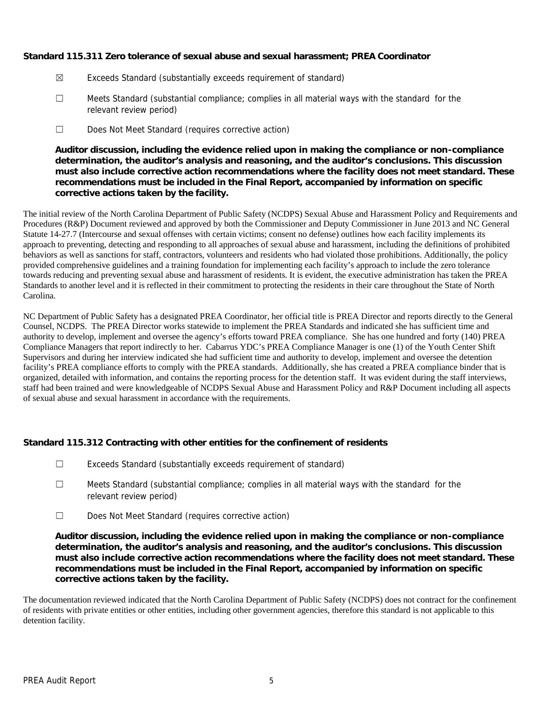**Standard 115.311 Zero tolerance of sexual abuse and sexual harassment; PREA Coordinator**

- ☒ Exceeds Standard (substantially exceeds requirement of standard)
- ☐ Meets Standard (substantial compliance; complies in all material ways with the standard for the relevant review period)
- ☐ Does Not Meet Standard (requires corrective action)

**Auditor discussion, including the evidence relied upon in making the compliance or non-compliance determination, the auditor's analysis and reasoning, and the auditor's conclusions. This discussion must also include corrective action recommendations where the facility does not meet standard. These recommendations must be included in the Final Report, accompanied by information on specific corrective actions taken by the facility.**

The initial review of the North Carolina Department of Public Safety (NCDPS) Sexual Abuse and Harassment Policy and Requirements and Procedures (R&P) Document reviewed and approved by both the Commissioner and Deputy Commissioner in June 2013 and NC General Statute 14-27.7 (Intercourse and sexual offenses with certain victims; consent no defense) outlines how each facility implements its approach to preventing, detecting and responding to all approaches of sexual abuse and harassment, including the definitions of prohibited behaviors as well as sanctions for staff, contractors, volunteers and residents who had violated those prohibitions. Additionally, the policy provided comprehensive guidelines and a training foundation for implementing each facility's approach to include the zero tolerance towards reducing and preventing sexual abuse and harassment of residents. It is evident, the executive administration has taken the PREA Standards to another level and it is reflected in their commitment to protecting the residents in their care throughout the State of North Carolina.

NC Department of Public Safety has a designated PREA Coordinator, her official title is PREA Director and reports directly to the General Counsel, NCDPS. The PREA Director works statewide to implement the PREA Standards and indicated she has sufficient time and authority to develop, implement and oversee the agency's efforts toward PREA compliance. She has one hundred and forty (140) PREA Compliance Managers that report indirectly to her. Cabarrus YDC's PREA Compliance Manager is one (1) of the Youth Center Shift Supervisors and during her interview indicated she had sufficient time and authority to develop, implement and oversee the detention facility's PREA compliance efforts to comply with the PREA standards. Additionally, she has created a PREA compliance binder that is organized, detailed with information, and contains the reporting process for the detention staff. It was evident during the staff interviews, staff had been trained and were knowledgeable of NCDPS Sexual Abuse and Harassment Policy and R&P Document including all aspects of sexual abuse and sexual harassment in accordance with the requirements.

**Standard 115.312 Contracting with other entities for the confinement of residents**

- ☐ Exceeds Standard (substantially exceeds requirement of standard)
- ☐ Meets Standard (substantial compliance; complies in all material ways with the standard for the relevant review period)
- ☐ Does Not Meet Standard (requires corrective action)

**Auditor discussion, including the evidence relied upon in making the compliance or non-compliance determination, the auditor's analysis and reasoning, and the auditor's conclusions. This discussion must also include corrective action recommendations where the facility does not meet standard. These recommendations must be included in the Final Report, accompanied by information on specific corrective actions taken by the facility.**

The documentation reviewed indicated that the North Carolina Department of Public Safety (NCDPS) does not contract for the confinement of residents with private entities or other entities, including other government agencies, therefore this standard is not applicable to this detention facility.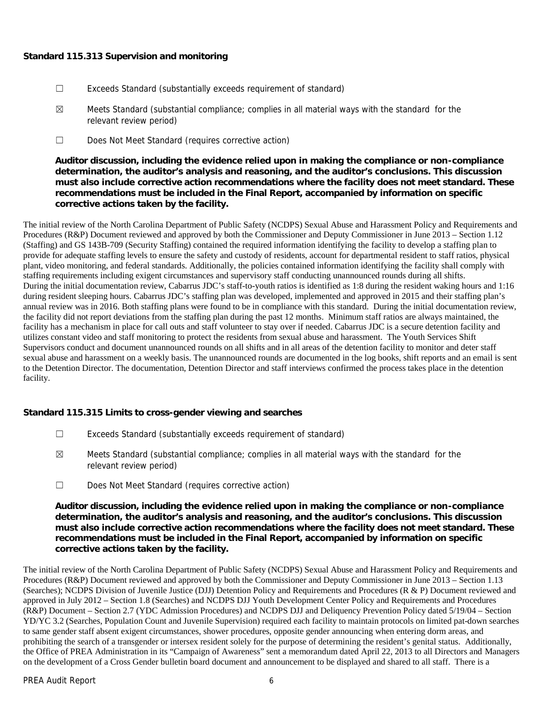### **Standard 115.313 Supervision and monitoring**

- ☐ Exceeds Standard (substantially exceeds requirement of standard)
- $\boxtimes$  Meets Standard (substantial compliance; complies in all material ways with the standard for the relevant review period)
- ☐ Does Not Meet Standard (requires corrective action)

**Auditor discussion, including the evidence relied upon in making the compliance or non-compliance determination, the auditor's analysis and reasoning, and the auditor's conclusions. This discussion must also include corrective action recommendations where the facility does not meet standard. These recommendations must be included in the Final Report, accompanied by information on specific corrective actions taken by the facility.**

The initial review of the North Carolina Department of Public Safety (NCDPS) Sexual Abuse and Harassment Policy and Requirements and Procedures (R&P) Document reviewed and approved by both the Commissioner and Deputy Commissioner in June 2013 – Section 1.12 (Staffing) and GS 143B-709 (Security Staffing) contained the required information identifying the facility to develop a staffing plan to provide for adequate staffing levels to ensure the safety and custody of residents, account for departmental resident to staff ratios, physical plant, video monitoring, and federal standards. Additionally, the policies contained information identifying the facility shall comply with staffing requirements including exigent circumstances and supervisory staff conducting unannounced rounds during all shifts. During the initial documentation review, Cabarrus JDC's staff-to-youth ratios is identified as 1:8 during the resident waking hours and 1:16 during resident sleeping hours. Cabarrus JDC's staffing plan was developed, implemented and approved in 2015 and their staffing plan's annual review was in 2016. Both staffing plans were found to be in compliance with this standard. During the initial documentation review, the facility did not report deviations from the staffing plan during the past 12 months. Minimum staff ratios are always maintained, the facility has a mechanism in place for call outs and staff volunteer to stay over if needed. Cabarrus JDC is a secure detention facility and utilizes constant video and staff monitoring to protect the residents from sexual abuse and harassment. The Youth Services Shift Supervisors conduct and document unannounced rounds on all shifts and in all areas of the detention facility to monitor and deter staff sexual abuse and harassment on a weekly basis. The unannounced rounds are documented in the log books, shift reports and an email is sent to the Detention Director. The documentation, Detention Director and staff interviews confirmed the process takes place in the detention facility.

**Standard 115.315 Limits to cross-gender viewing and searches**

- ☐ Exceeds Standard (substantially exceeds requirement of standard)
- $\boxtimes$  Meets Standard (substantial compliance; complies in all material ways with the standard for the relevant review period)
- ☐ Does Not Meet Standard (requires corrective action)

**Auditor discussion, including the evidence relied upon in making the compliance or non-compliance determination, the auditor's analysis and reasoning, and the auditor's conclusions. This discussion must also include corrective action recommendations where the facility does not meet standard. These recommendations must be included in the Final Report, accompanied by information on specific corrective actions taken by the facility.**

The initial review of the North Carolina Department of Public Safety (NCDPS) Sexual Abuse and Harassment Policy and Requirements and Procedures (R&P) Document reviewed and approved by both the Commissioner and Deputy Commissioner in June 2013 – Section 1.13 (Searches); NCDPS Division of Juvenile Justice (DJJ) Detention Policy and Requirements and Procedures (R & P) Document reviewed and approved in July 2012 – Section 1.8 (Searches) and NCDPS DJJ Youth Development Center Policy and Requirements and Procedures (R&P) Document – Section 2.7 (YDC Admission Procedures) and NCDPS DJJ and Deliquency Prevention Policy dated 5/19/04 – Section YD/YC 3.2 (Searches, Population Count and Juvenile Supervision) required each facility to maintain protocols on limited pat-down searches to same gender staff absent exigent circumstances, shower procedures, opposite gender announcing when entering dorm areas, and prohibiting the search of a transgender or intersex resident solely for the purpose of determining the resident's genital status. Additionally, the Office of PREA Administration in its "Campaign of Awareness" sent a memorandum dated April 22, 2013 to all Directors and Managers on the development of a Cross Gender bulletin board document and announcement to be displayed and shared to all staff. There is a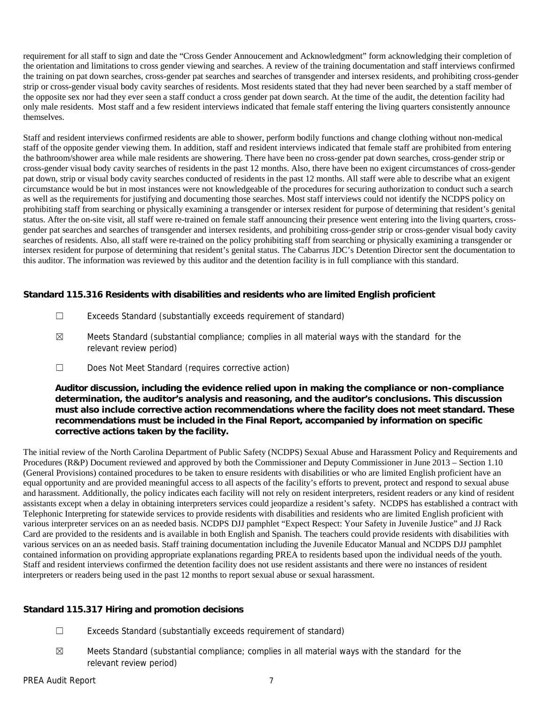requirement for all staff to sign and date the "Cross Gender Annoucement and Acknowledgment" form acknowledging their completion of the orientation and limitations to cross gender viewing and searches. A review of the training documentation and staff interviews confirmed the training on pat down searches, cross-gender pat searches and searches of transgender and intersex residents, and prohibiting cross-gender strip or cross-gender visual body cavity searches of residents. Most residents stated that they had never been searched by a staff member of the opposite sex nor had they ever seen a staff conduct a cross gender pat down search. At the time of the audit, the detention facility had only male residents. Most staff and a few resident interviews indicated that female staff entering the living quarters consistently announce themselves.

Staff and resident interviews confirmed residents are able to shower, perform bodily functions and change clothing without non-medical staff of the opposite gender viewing them. In addition, staff and resident interviews indicated that female staff are prohibited from entering the bathroom/shower area while male residents are showering. There have been no cross-gender pat down searches, cross-gender strip or cross-gender visual body cavity searches of residents in the past 12 months. Also, there have been no exigent circumstances of cross-gender pat down, strip or visual body cavity searches conducted of residents in the past 12 months. All staff were able to describe what an exigent circumstance would be but in most instances were not knowledgeable of the procedures for securing authorization to conduct such a search as well as the requirements for justifying and documenting those searches. Most staff interviews could not identify the NCDPS policy on prohibiting staff from searching or physically examining a transgender or intersex resident for purpose of determining that resident's genital status. After the on-site visit, all staff were re-trained on female staff announcing their presence went entering into the living quarters, cross gender pat searches and searches of transgender and intersex residents, and prohibiting cross-gender strip or cross-gender visual body cavity searches of residents. Also, all staff were re-trained on the policy prohibiting staff from searching or physically examining a transgender or intersex resident for purpose of determining that resident's genital status. The Cabarrus JDC's Detention Director sent the documentation to this auditor. The information was reviewed by this auditor and the detention facility is in full compliance with this standard.

**Standard 115.316 Residents with disabilities and residents who are limited English proficient**

- ☐ Exceeds Standard (substantially exceeds requirement of standard)
- $\boxtimes$  Meets Standard (substantial compliance; complies in all material ways with the standard for the relevant review period)
- ☐ Does Not Meet Standard (requires corrective action)

**Auditor discussion, including the evidence relied upon in making the compliance or non-compliance determination, the auditor's analysis and reasoning, and the auditor's conclusions. This discussion must also include corrective action recommendations where the facility does not meet standard. These recommendations must be included in the Final Report, accompanied by information on specific corrective actions taken by the facility.**

The initial review of the North Carolina Department of Public Safety (NCDPS) Sexual Abuse and Harassment Policy and Requirements and Procedures (R&P) Document reviewed and approved by both the Commissioner and Deputy Commissioner in June 2013 – Section 1.10 (General Provisions) contained procedures to be taken to ensure residents with disabilities or who are limited English proficient have an equal opportunity and are provided meaningful access to all aspects of the facility's efforts to prevent, protect and respond to sexual abuse and harassment. Additionally, the policy indicates each facility will not rely on resident interpreters, resident readers or any kind of resident assistants except when a delay in obtaining interpreters services could jeopardize a resident's safety. NCDPS has established a contract with Telephonic Interpreting for statewide services to provide residents with disabilities and residents who are limited English proficient with various interpreter services on an as needed basis. NCDPS DJJ pamphlet "Expect Respect: Your Safety in Juvenile Justice" and JJ Rack Card are provided to the residents and is available in both English and Spanish. The teachers could provide residents with disabilities with various services on an as needed basis. Staff training documentation including the Juvenile Educator Manual and NCDPS DJJ pamphlet contained information on providing appropriate explanations regarding PREA to residents based upon the individual needs of the youth. Staff and resident interviews confirmed the detention facility does not use resident assistants and there were no instances of resident interpreters or readers being used in the past 12 months to report sexual abuse or sexual harassment.

**Standard 115.317 Hiring and promotion decisions**

- ☐ Exceeds Standard (substantially exceeds requirement of standard)
- $\boxtimes$  Meets Standard (substantial compliance; complies in all material ways with the standard for the relevant review period)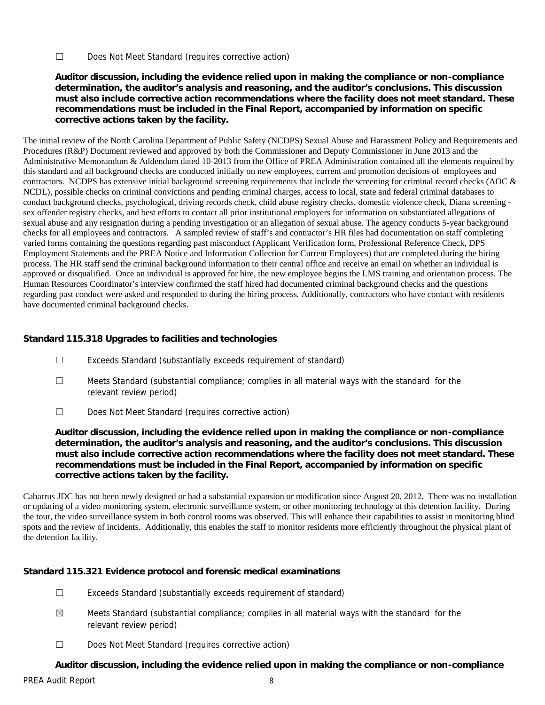☐ Does Not Meet Standard (requires corrective action)

**Auditor discussion, including the evidence relied upon in making the compliance or non-compliance determination, the auditor's analysis and reasoning, and the auditor's conclusions. This discussion must also include corrective action recommendations where the facility does not meet standard. These recommendations must be included in the Final Report, accompanied by information on specific corrective actions taken by the facility.**

The initial review of the North Carolina Department of Public Safety (NCDPS) Sexual Abuse and Harassment Policy and Requirements and Procedures (R&P) Document reviewed and approved by both the Commissioner and Deputy Commissioner in June 2013 and the Administrative Memorandum & Addendum dated 10-2013 from the Office of PREA Administration contained all the elements required by this standard and all background checks are conducted initially on new employees, current and promotion decisions of employees and contractors. NCDPS has extensive initial background screening requirements that include the screening for criminal record checks (AOC & NCDL), possible checks on criminal convictions and pending criminal charges, access to local, state and federal criminal databases to conduct background checks, psychological, driving records check, child abuse registry checks, domestic violence check, Diana screening sex offender registry checks, and best efforts to contact all prior institutional employers for information on substantiated allegations of sexual abuse and any resignation during a pending investigation or an allegation of sexual abuse. The agency conducts 5-year background checks for all employees and contractors. A sampled review of staff's and contractor's HR files had documentation on staff completing varied forms containing the questions regarding past misconduct (Applicant Verification form, Professional Reference Check, DPS Employment Statements and the PREA Notice and Information Collection for Current Employees) that are completed during the hiring process. The HR staff send the criminal background information to their central office and receive an email on whether an individual is approved or disqualified. Once an individual is approved for hire, the new employee begins the LMS training and orientation process. The Human Resources Coordinator's interview confirmed the staff hired had documented criminal background checks and the questions regarding past conduct were asked and responded to during the hiring process. Additionally, contractors who have contact with residents have documented criminal background checks.

# **Standard 115.318 Upgrades to facilities and technologies**

- ☐ Exceeds Standard (substantially exceeds requirement of standard)
- ☐ Meets Standard (substantial compliance; complies in all material ways with the standard for the relevant review period)
- ☐ Does Not Meet Standard (requires corrective action)

**Auditor discussion, including the evidence relied upon in making the compliance or non-compliance determination, the auditor's analysis and reasoning, and the auditor's conclusions. This discussion must also include corrective action recommendations where the facility does not meet standard. These recommendations must be included in the Final Report, accompanied by information on specific corrective actions taken by the facility.**

Cabarrus JDC has not been newly designed or had a substantial expansion or modification since August 20, 2012. There was no installation or updating of a video monitoring system, electronic surveillance system, or other monitoring technology at this detention facility. During the tour, the video surveillance system in both control rooms was observed. This will enhance their capabilities to assist in monitoring blind spots and the review of incidents. Additionally, this enables the staff to monitor residents more efficiently throughout the physical plant of the detention facility.

**Standard 115.321 Evidence protocol and forensic medical examinations**

- ☐ Exceeds Standard (substantially exceeds requirement of standard)
- $\boxtimes$  Meets Standard (substantial compliance; complies in all material ways with the standard for the relevant review period)
- ☐ Does Not Meet Standard (requires corrective action)

**Auditor discussion, including the evidence relied upon in making the compliance or non-compliance**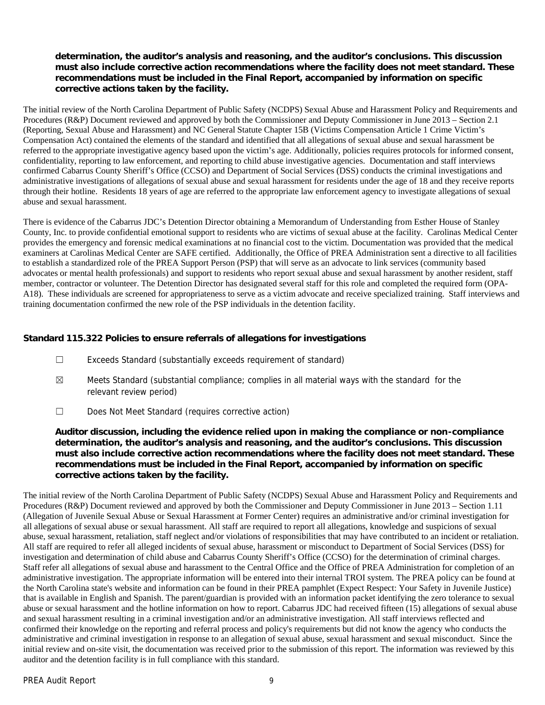**determination, the auditor's analysis and reasoning, and the auditor's conclusions. This discussion must also include corrective action recommendations where the facility does not meet standard. These recommendations must be included in the Final Report, accompanied by information on specific corrective actions taken by the facility.**

The initial review of the North Carolina Department of Public Safety (NCDPS) Sexual Abuse and Harassment Policy and Requirements and Procedures (R&P) Document reviewed and approved by both the Commissioner and Deputy Commissioner in June 2013 – Section 2.1 (Reporting, Sexual Abuse and Harassment) and NC General Statute Chapter 15B (Victims Compensation Article 1 Crime Victim's Compensation Act) contained the elements of the standard and identified that all allegations of sexual abuse and sexual harassment be referred to the appropriate investigative agency based upon the victim's age. Additionally, policies requires protocols for informed consent, confidentiality, reporting to law enforcement, and reporting to child abuse investigative agencies. Documentation and staff interviews confirmed Cabarrus County Sheriff's Office (CCSO) and Department of Social Services (DSS) conducts the criminal investigations and administrative investigations of allegations of sexual abuse and sexual harassment for residents under the age of 18 and they receive reports through their hotline. Residents 18 years of age are referred to the appropriate law enforcement agency to investigate allegations of sexual abuse and sexual harassment.

There is evidence of the Cabarrus JDC's Detention Director obtaining a Memorandum of Understanding from Esther House of Stanley County, Inc. to provide confidential emotional support to residents who are victims of sexual abuse at the facility. Carolinas Medical Center provides the emergency and forensic medical examinations at no financial cost to the victim. Documentation was provided that the medical examiners at Carolinas Medical Center are SAFE certified. Additionally, the Office of PREA Administration sent a directive to all facilities to establish a standardized role of the PREA Support Person (PSP) that will serve as an advocate to link services (community based advocates or mental health professionals) and support to residents who report sexual abuse and sexual harassment by another resident, staff member, contractor or volunteer. The Detention Director has designated several staff for this role and completed the required form (OPA- A18). These individuals are screened for appropriateness to serve as a victim advocate and receive specialized training. Staff interviews and training documentation confirmed the new role of the PSP individuals in the detention facility.

**Standard 115.322 Policies to ensure referrals of allegations for investigations**

- ☐ Exceeds Standard (substantially exceeds requirement of standard)
- $\boxtimes$  Meets Standard (substantial compliance; complies in all material ways with the standard for the relevant review period)
- ☐ Does Not Meet Standard (requires corrective action)

**Auditor discussion, including the evidence relied upon in making the compliance or non-compliance determination, the auditor's analysis and reasoning, and the auditor's conclusions. This discussion must also include corrective action recommendations where the facility does not meet standard. These recommendations must be included in the Final Report, accompanied by information on specific corrective actions taken by the facility.**

The initial review of the North Carolina Department of Public Safety (NCDPS) Sexual Abuse and Harassment Policy and Requirements and Procedures (R&P) Document reviewed and approved by both the Commissioner and Deputy Commissioner in June 2013 – Section 1.11 (Allegation of Juvenile Sexual Abuse or Sexual Harassment at Former Center) requires an administrative and/or criminal investigation for all allegations of sexual abuse or sexual harassment. All staff are required to report all allegations, knowledge and suspicions of sexual abuse, sexual harassment, retaliation, staff neglect and/or violations of responsibilities that may have contributed to an incident or retaliation. All staff are required to refer all alleged incidents of sexual abuse, harassment or misconduct to Department of Social Services (DSS) for investigation and determination of child abuse and Cabarrus County Sheriff's Office (CCSO) for the determination of criminal charges. Staff refer all allegations of sexual abuse and harassment to the Central Office and the Office of PREA Administration for completion of an administrative investigation. The appropriate information will be entered into their internal TROI system. The PREA policy can be found at the North Carolina state's website and information can be found in their PREA pamphlet (Expect Respect: Your Safety in Juvenile Justice) that is available in English and Spanish. The parent/guardian is provided with an information packet identifying the zero tolerance to sexual abuse or sexual harassment and the hotline information on how to report. Cabarrus JDC had received fifteen (15) allegations of sexual abuse and sexual harassment resulting in a criminal investigation and/or an administrative investigation. All staff interviews reflected and confirmed their knowledge on the reporting and referral process and policy's requirements but did not know the agency who conducts the administrative and criminal investigation in response to an allegation of sexual abuse, sexual harassment and sexual misconduct. Since the initial review and on-site visit, the documentation was received prior to the submission of this report. The information was reviewed by this auditor and the detention facility is in full compliance with this standard.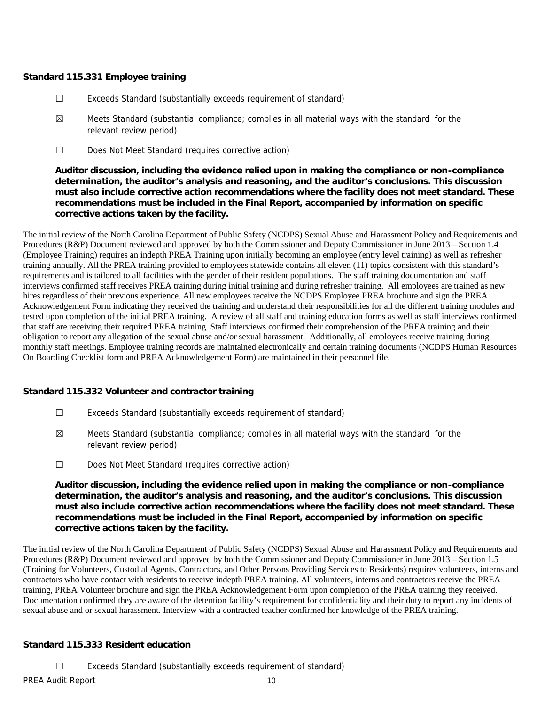### **Standard 115.331 Employee training**

- ☐ Exceeds Standard (substantially exceeds requirement of standard)
- $\boxtimes$  Meets Standard (substantial compliance; complies in all material ways with the standard for the relevant review period)
- ☐ Does Not Meet Standard (requires corrective action)

**Auditor discussion, including the evidence relied upon in making the compliance or non-compliance determination, the auditor's analysis and reasoning, and the auditor's conclusions. This discussion must also include corrective action recommendations where the facility does not meet standard. These recommendations must be included in the Final Report, accompanied by information on specific corrective actions taken by the facility.**

The initial review of the North Carolina Department of Public Safety (NCDPS) Sexual Abuse and Harassment Policy and Requirements and Procedures (R&P) Document reviewed and approved by both the Commissioner and Deputy Commissioner in June 2013 – Section 1.4 (Employee Training) requires an indepth PREA Training upon initially becoming an employee (entry level training) as well as refresher training annually. All the PREA training provided to employees statewide contains all eleven (11) topics consistent with this standard's requirements and is tailored to all facilities with the gender of their resident populations. The staff training documentation and staff interviews confirmed staff receives PREA training during initial training and during refresher training. All employees are trained as new hires regardless of their previous experience. All new employees receive the NCDPS Employee PREA brochure and sign the PREA Acknowledgement Form indicating they received the training and understand their responsibilities for all the different training modules and tested upon completion of the initial PREA training. A review of all staff and training education forms as well as staff interviews confirmed that staff are receiving their required PREA training. Staff interviews confirmed their comprehension of the PREA training and their obligation to report any allegation of the sexual abuse and/or sexual harassment. Additionally, all employees receive training during monthly staff meetings. Employee training records are maintained electronically and certain training documents (NCDPS Human Resources On Boarding Checklist form and PREA Acknowledgement Form) are maintained in their personnel file.

**Standard 115.332 Volunteer and contractor training**

- ☐ Exceeds Standard (substantially exceeds requirement of standard)
- $\boxtimes$  Meets Standard (substantial compliance; complies in all material ways with the standard for the relevant review period)
- ☐ Does Not Meet Standard (requires corrective action)

**Auditor discussion, including the evidence relied upon in making the compliance or non-compliance determination, the auditor's analysis and reasoning, and the auditor's conclusions. This discussion must also include corrective action recommendations where the facility does not meet standard. These recommendations must be included in the Final Report, accompanied by information on specific corrective actions taken by the facility.**

The initial review of the North Carolina Department of Public Safety (NCDPS) Sexual Abuse and Harassment Policy and Requirements and Procedures (R&P) Document reviewed and approved by both the Commissioner and Deputy Commissioner in June 2013 – Section 1.5 (Training for Volunteers, Custodial Agents, Contractors, and Other Persons Providing Services to Residents) requires volunteers, interns and contractors who have contact with residents to receive indepth PREA training. All volunteers, interns and contractors receive the PREA training, PREA Volunteer brochure and sign the PREA Acknowledgement Form upon completion of the PREA training they received. Documentation confirmed they are aware of the detention facility's requirement for confidentiality and their duty to report any incidents of sexual abuse and or sexual harassment. Interview with a contracted teacher confirmed her knowledge of the PREA training.

**Standard 115.333 Resident education**

☐ Exceeds Standard (substantially exceeds requirement of standard)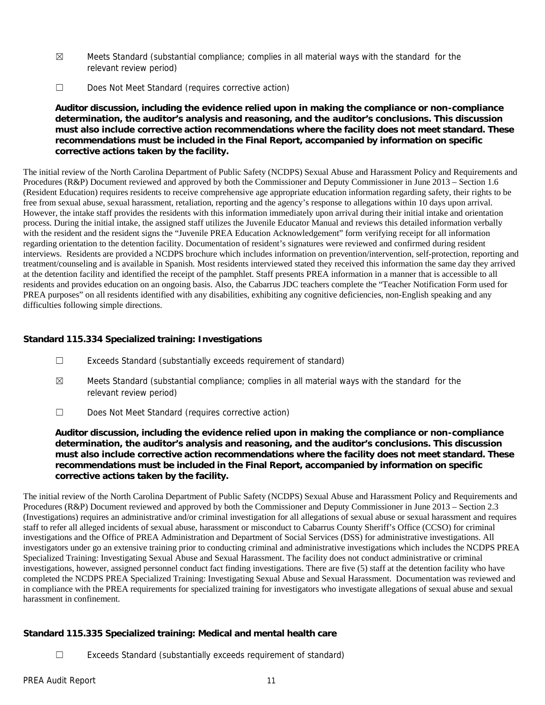- $\boxtimes$  Meets Standard (substantial compliance; complies in all material ways with the standard for the relevant review period)
- ☐ Does Not Meet Standard (requires corrective action)

**Auditor discussion, including the evidence relied upon in making the compliance or non-compliance determination, the auditor's analysis and reasoning, and the auditor's conclusions. This discussion must also include corrective action recommendations where the facility does not meet standard. These recommendations must be included in the Final Report, accompanied by information on specific corrective actions taken by the facility.**

The initial review of the North Carolina Department of Public Safety (NCDPS) Sexual Abuse and Harassment Policy and Requirements and Procedures (R&P) Document reviewed and approved by both the Commissioner and Deputy Commissioner in June 2013 – Section 1.6 (Resident Education) requires residents to receive comprehensive age appropriate education information regarding safety, their rights to be free from sexual abuse, sexual harassment, retaliation, reporting and the agency's response to allegations within 10 days upon arrival. However, the intake staff provides the residents with this information immediately upon arrival during their initial intake and orientation process. During the initial intake, the assigned staff utilizes the Juvenile Educator Manual and reviews this detailed information verbally with the resident and the resident signs the "Juvenile PREA Education Acknowledgement" form verifying receipt for all information regarding orientation to the detention facility. Documentation of resident's signatures were reviewed and confirmed during resident interviews. Residents are provided a NCDPS brochure which includes information on prevention/intervention, self-protection, reporting and treatment/counseling and is available in Spanish. Most residents interviewed stated they received this information the same day they arrived at the detention facility and identified the receipt of the pamphlet. Staff presents PREA information in a manner that is accessible to all residents and provides education on an ongoing basis. Also, the Cabarrus JDC teachers complete the "Teacher Notification Form used for PREA purposes" on all residents identified with any disabilities, exhibiting any cognitive deficiencies, non-English speaking and any difficulties following simple directions.

**Standard 115.334 Specialized training: Investigations**

- ☐ Exceeds Standard (substantially exceeds requirement of standard)
- ☒ Meets Standard (substantial compliance; complies in all material ways with the standard for the relevant review period)
- ☐ Does Not Meet Standard (requires corrective action)

**Auditor discussion, including the evidence relied upon in making the compliance or non-compliance determination, the auditor's analysis and reasoning, and the auditor's conclusions. This discussion must also include corrective action recommendations where the facility does not meet standard. These recommendations must be included in the Final Report, accompanied by information on specific corrective actions taken by the facility.**

The initial review of the North Carolina Department of Public Safety (NCDPS) Sexual Abuse and Harassment Policy and Requirements and Procedures (R&P) Document reviewed and approved by both the Commissioner and Deputy Commissioner in June 2013 – Section 2.3 (Investigations) requires an administrative and/or criminal investigation for all allegations of sexual abuse or sexual harassment and requires staff to refer all alleged incidents of sexual abuse, harassment or misconduct to Cabarrus County Sheriff's Office (CCSO) for criminal investigations and the Office of PREA Administration and Department of Social Services (DSS) for administrative investigations. All investigators under go an extensive training prior to conducting criminal and administrative investigations which includes the NCDPS PREA Specialized Training: Investigating Sexual Abuse and Sexual Harassment. The facility does not conduct administrative or criminal investigations, however, assigned personnel conduct fact finding investigations. There are five (5) staff at the detention facility who have completed the NCDPS PREA Specialized Training: Investigating Sexual Abuse and Sexual Harassment. Documentation was reviewed and in compliance with the PREA requirements for specialized training for investigators who investigate allegations of sexual abuse and sexual harassment in confinement.

**Standard 115.335 Specialized training: Medical and mental health care**

☐ Exceeds Standard (substantially exceeds requirement of standard)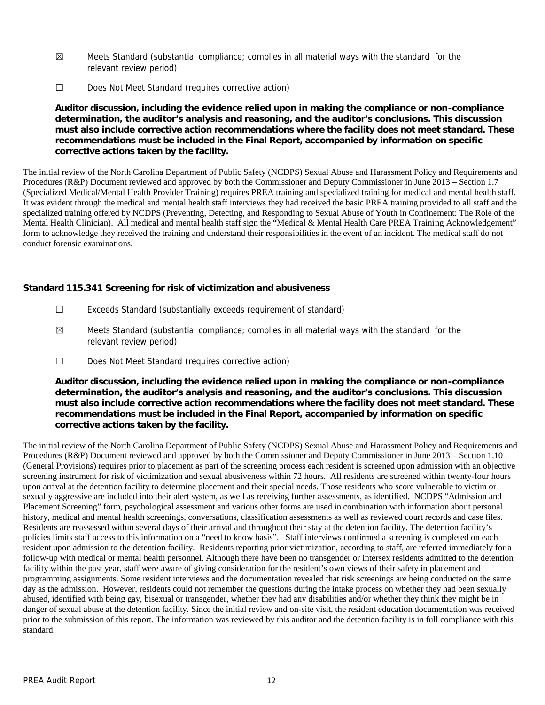- $\boxtimes$  Meets Standard (substantial compliance; complies in all material ways with the standard for the relevant review period)
- ☐ Does Not Meet Standard (requires corrective action)

**Auditor discussion, including the evidence relied upon in making the compliance or non-compliance determination, the auditor's analysis and reasoning, and the auditor's conclusions. This discussion must also include corrective action recommendations where the facility does not meet standard. These recommendations must be included in the Final Report, accompanied by information on specific corrective actions taken by the facility.**

The initial review of the North Carolina Department of Public Safety (NCDPS) Sexual Abuse and Harassment Policy and Requirements and Procedures (R&P) Document reviewed and approved by both the Commissioner and Deputy Commissioner in June 2013 – Section 1.7 (Specialized Medical/Mental Health Provider Training) requires PREA training and specialized training for medical and mental health staff. It was evident through the medical and mental health staff interviews they had received the basic PREA training provided to all staff and the specialized training offered by NCDPS (Preventing, Detecting, and Responding to Sexual Abuse of Youth in Confinement: The Role of the Mental Health Clinician). All medical and mental health staff sign the "Medical & Mental Health Care PREA Training Acknowledgement" form to acknowledge they received the training and understand their responsibilities in the event of an incident. The medical staff do not conduct forensic examinations.

**Standard 115.341 Screening for risk of victimization and abusiveness**

- ☐ Exceeds Standard (substantially exceeds requirement of standard)
- $\boxtimes$  Meets Standard (substantial compliance; complies in all material ways with the standard for the relevant review period)
- ☐ Does Not Meet Standard (requires corrective action)

**Auditor discussion, including the evidence relied upon in making the compliance or non-compliance determination, the auditor's analysis and reasoning, and the auditor's conclusions. This discussion must also include corrective action recommendations where the facility does not meet standard. These recommendations must be included in the Final Report, accompanied by information on specific corrective actions taken by the facility.**

The initial review of the North Carolina Department of Public Safety (NCDPS) Sexual Abuse and Harassment Policy and Requirements and Procedures (R&P) Document reviewed and approved by both the Commissioner and Deputy Commissioner in June 2013 – Section 1.10 (General Provisions) requires prior to placement as part of the screening process each resident is screened upon admission with an objective screening instrument for risk of victimization and sexual abusiveness within 72 hours. All residents are screened within twenty-four hours upon arrival at the detention facility to determine placement and their special needs. Those residents who score vulnerable to victim or sexually aggressive are included into their alert system, as well as receiving further assessments, as identified. NCDPS "Admission and Placement Screening" form, psychological assessment and various other forms are used in combination with information about personal history, medical and mental health screenings, conversations, classification assessments as well as reviewed court records and case files. Residents are reassessed within several days of their arrival and throughout their stay at the detention facility. The detention facility's policies limits staff access to this information on a "need to know basis". Staff interviews confirmed a screening is completed on each resident upon admission to the detention facility. Residents reporting prior victimization, according to staff, are referred immediately for a follow-up with medical or mental health personnel. Although there have been no transgender or intersex residents admitted to the detention facility within the past year, staff were aware of giving consideration for the resident's own views of their safety in placement and programming assignments. Some resident interviews and the documentation revealed that risk screenings are being conducted on the same day as the admission. However, residents could not remember the questions during the intake process on whether they had been sexually abused, identified with being gay, bisexual or transgender, whether they had any disabilities and/or whether they think they might be in danger of sexual abuse at the detention facility. Since the initial review and on-site visit, the resident education documentation was received prior to the submission of this report. The information was reviewed by this auditor and the detention facility is in full compliance with this standard.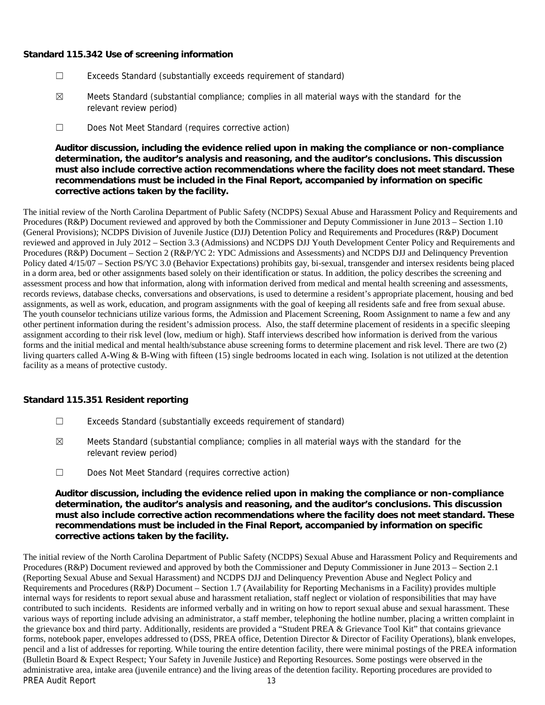#### **Standard 115.342 Use of screening information**

- ☐ Exceeds Standard (substantially exceeds requirement of standard)
- $\boxtimes$  Meets Standard (substantial compliance; complies in all material ways with the standard for the relevant review period)
- ☐ Does Not Meet Standard (requires corrective action)

**Auditor discussion, including the evidence relied upon in making the compliance or non-compliance determination, the auditor's analysis and reasoning, and the auditor's conclusions. This discussion must also include corrective action recommendations where the facility does not meet standard. These recommendations must be included in the Final Report, accompanied by information on specific corrective actions taken by the facility.**

The initial review of the North Carolina Department of Public Safety (NCDPS) Sexual Abuse and Harassment Policy and Requirements and Procedures (R&P) Document reviewed and approved by both the Commissioner and Deputy Commissioner in June 2013 – Section 1.10 (General Provisions); NCDPS Division of Juvenile Justice (DJJ) Detention Policy and Requirements and Procedures (R&P) Document reviewed and approved in July 2012 – Section 3.3 (Admissions) and NCDPS DJJ Youth Development Center Policy and Requirements and Procedures (R&P) Document – Section 2 (R&P/YC 2: YDC Admissions and Assessments) and NCDPS DJJ and Delinquency Prevention Policy dated 4/15/07 – Section PS/YC 3.0 (Behavior Expectations) prohibits gay, bi-sexual, transgender and intersex residents being placed in a dorm area, bed or other assignments based solely on their identification or status. In addition, the policy describes the screening and assessment process and how that information, along with information derived from medical and mental health screening and assessments, records reviews, database checks, conversations and observations, is used to determine a resident's appropriate placement, housing and bed assignments, as well as work, education, and program assignments with the goal of keeping all residents safe and free from sexual abuse. The youth counselor technicians utilize various forms, the Admission and Placement Screening, Room Assignment to name a few and any other pertinent information during the resident's admission process. Also, the staff determine placement of residents in a specific sleeping assignment according to their risk level (low, medium or high). Staff interviews described how information is derived from the various forms and the initial medical and mental health/substance abuse screening forms to determine placement and risk level. There are two (2) living quarters called A-Wing & B-Wing with fifteen (15) single bedrooms located in each wing. Isolation is not utilized at the detention facility as a means of protective custody.

#### **Standard 115.351 Resident reporting**

- ☐ Exceeds Standard (substantially exceeds requirement of standard)
- $\boxtimes$  Meets Standard (substantial compliance; complies in all material ways with the standard for the relevant review period)
- ☐ Does Not Meet Standard (requires corrective action)

**Auditor discussion, including the evidence relied upon in making the compliance or non-compliance determination, the auditor's analysis and reasoning, and the auditor's conclusions. This discussion must also include corrective action recommendations where the facility does not meet standard. These recommendations must be included in the Final Report, accompanied by information on specific corrective actions taken by the facility.**

PREA Audit Report 13 The initial review of the North Carolina Department of Public Safety (NCDPS) Sexual Abuse and Harassment Policy and Requirements and Procedures (R&P) Document reviewed and approved by both the Commissioner and Deputy Commissioner in June 2013 – Section 2.1 (Reporting Sexual Abuse and Sexual Harassment) and NCDPS DJJ and Delinquency Prevention Abuse and Neglect Policy and Requirements and Procedures (R&P) Document – Section 1.7 (Availability for Reporting Mechanisms in a Facility) provides multiple internal ways for residents to report sexual abuse and harassment retaliation, staff neglect or violation of responsibilities that may have contributed to such incidents. Residents are informed verbally and in writing on how to report sexual abuse and sexual harassment. These various ways of reporting include advising an administrator, a staff member, telephoning the hotline number, placing a written complaint in the grievance box and third party. Additionally, residents are provided a "Student PREA & Grievance Tool Kit" that contains grievance forms, notebook paper, envelopes addressed to (DSS, PREA office, Detention Director & Director of Facility Operations), blank envelopes, pencil and a list of addresses for reporting. While touring the entire detention facility, there were minimal postings of the PREA information (Bulletin Board & Expect Respect; Your Safety in Juvenile Justice) and Reporting Resources. Some postings were observed in the administrative area, intake area (juvenile entrance) and the living areas of the detention facility. Reporting procedures are provided to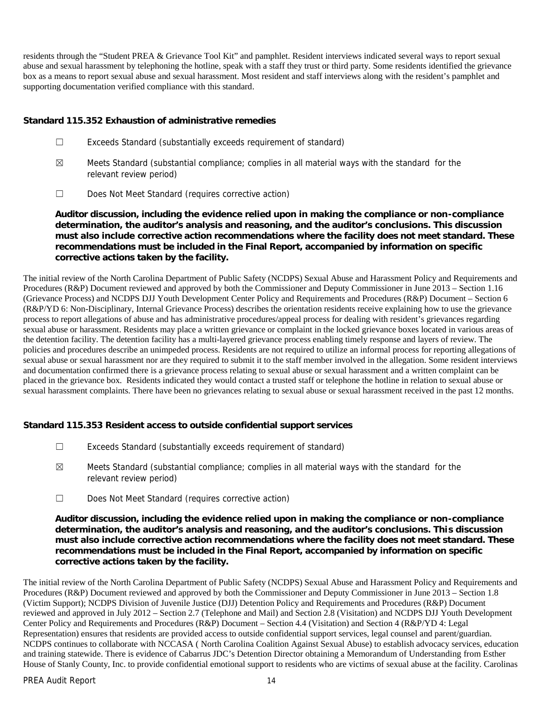residents through the "Student PREA & Grievance Tool Kit" and pamphlet. Resident interviews indicated several ways to report sexual abuse and sexual harassment by telephoning the hotline, speak with a staff they trust or third party. Some residents identified the grievance box as a means to report sexual abuse and sexual harassment. Most resident and staff interviews along with the resident's pamphlet and supporting documentation verified compliance with this standard.

#### **Standard 115.352 Exhaustion of administrative remedies**

- ☐ Exceeds Standard (substantially exceeds requirement of standard)
- $\boxtimes$  Meets Standard (substantial compliance; complies in all material ways with the standard for the relevant review period)
- ☐ Does Not Meet Standard (requires corrective action)

**Auditor discussion, including the evidence relied upon in making the compliance or non-compliance determination, the auditor's analysis and reasoning, and the auditor's conclusions. This discussion must also include corrective action recommendations where the facility does not meet standard. These recommendations must be included in the Final Report, accompanied by information on specific corrective actions taken by the facility.**

The initial review of the North Carolina Department of Public Safety (NCDPS) Sexual Abuse and Harassment Policy and Requirements and Procedures (R&P) Document reviewed and approved by both the Commissioner and Deputy Commissioner in June 2013 – Section 1.16 (Grievance Process) and NCDPS DJJ Youth Development Center Policy and Requirements and Procedures (R&P) Document – Section 6 (R&P/YD 6: Non-Disciplinary, Internal Grievance Process) describes the orientation residents receive explaining how to use the grievance process to report allegations of abuse and has administrative procedures/appeal process for dealing with resident's grievances regarding sexual abuse or harassment. Residents may place a written grievance or complaint in the locked grievance boxes located in various areas of the detention facility. The detention facility has a multi-layered grievance process enabling timely response and layers of review. The policies and procedures describe an unimpeded process. Residents are not required to utilize an informal process for reporting allegations of sexual abuse or sexual harassment nor are they required to submit it to the staff member involved in the allegation. Some resident interviews and documentation confirmed there is a grievance process relating to sexual abuse or sexual harassment and a written complaint can be placed in the grievance box. Residents indicated they would contact a trusted staff or telephone the hotline in relation to sexual abuse or sexual harassment complaints. There have been no grievances relating to sexual abuse or sexual harassment received in the past 12 months.

**Standard 115.353 Resident access to outside confidential support services**

- ☐ Exceeds Standard (substantially exceeds requirement of standard)
- $\boxtimes$  Meets Standard (substantial compliance; complies in all material ways with the standard for the relevant review period)
- ☐ Does Not Meet Standard (requires corrective action)

**Auditor discussion, including the evidence relied upon in making the compliance or non-compliance determination, the auditor's analysis and reasoning, and the auditor's conclusions. This discussion must also include corrective action recommendations where the facility does not meet standard. These recommendations must be included in the Final Report, accompanied by information on specific corrective actions taken by the facility.**

The initial review of the North Carolina Department of Public Safety (NCDPS) Sexual Abuse and Harassment Policy and Requirements and Procedures (R&P) Document reviewed and approved by both the Commissioner and Deputy Commissioner in June 2013 – Section 1.8 (Victim Support); NCDPS Division of Juvenile Justice (DJJ) Detention Policy and Requirements and Procedures (R&P) Document reviewed and approved in July 2012 – Section 2.7 (Telephone and Mail) and Section 2.8 (Visitation) and NCDPS DJJ Youth Development Center Policy and Requirements and Procedures (R&P) Document – Section 4.4 (Visitation) and Section 4 (R&P/YD 4: Legal Representation) ensures that residents are provided access to outside confidential support services, legal counsel and parent/guardian. NCDPS continues to collaborate with NCCASA ( North Carolina Coalition Against Sexual Abuse) to establish advocacy services, education and training statewide. There is evidence of Cabarrus JDC's Detention Director obtaining a Memorandum of Understanding from Esther House of Stanly County, Inc. to provide confidential emotional support to residents who are victims of sexual abuse at the facility. Carolinas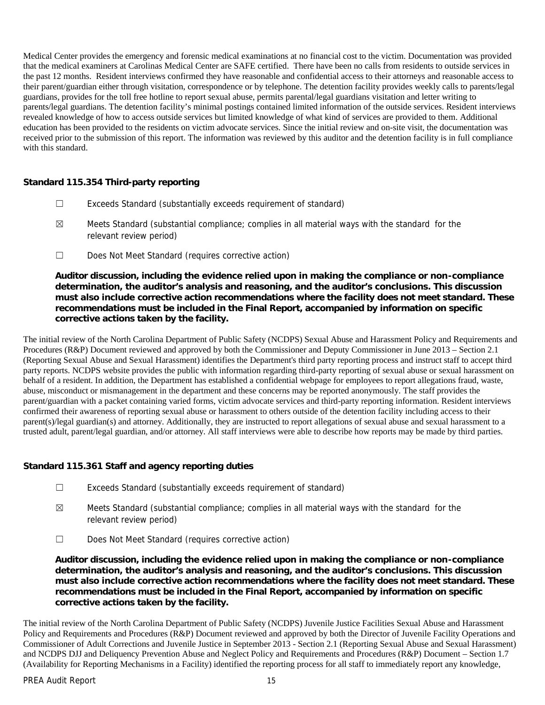Medical Center provides the emergency and forensic medical examinations at no financial cost to the victim. Documentation was provided that the medical examiners at Carolinas Medical Center are SAFE certified. There have been no calls from residents to outside services in the past 12 months. Resident interviews confirmed they have reasonable and confidential access to their attorneys and reasonable access to their parent/guardian either through visitation, correspondence or by telephone. The detention facility provides weekly calls to parents/legal guardians, provides for the toll free hotline to report sexual abuse, permits parental/legal guardians visitation and letter writing to parents/legal guardians. The detention facility's minimal postings contained limited information of the outside services. Resident interviews revealed knowledge of how to access outside services but limited knowledge of what kind of services are provided to them. Additional education has been provided to the residents on victim advocate services. Since the initial review and on-site visit, the documentation was received prior to the submission of this report. The information was reviewed by this auditor and the detention facility is in full compliance with this standard.

#### **Standard 115.354 Third-party reporting**

- ☐ Exceeds Standard (substantially exceeds requirement of standard)
- ☒ Meets Standard (substantial compliance; complies in all material ways with the standard for the relevant review period)
- ☐ Does Not Meet Standard (requires corrective action)

**Auditor discussion, including the evidence relied upon in making the compliance or non-compliance determination, the auditor's analysis and reasoning, and the auditor's conclusions. This discussion must also include corrective action recommendations where the facility does not meet standard. These recommendations must be included in the Final Report, accompanied by information on specific corrective actions taken by the facility.**

The initial review of the North Carolina Department of Public Safety (NCDPS) Sexual Abuse and Harassment Policy and Requirements and Procedures (R&P) Document reviewed and approved by both the Commissioner and Deputy Commissioner in June 2013 – Section 2.1 (Reporting Sexual Abuse and Sexual Harassment) identifies the Department's third party reporting process and instruct staff to accept third party reports. NCDPS website provides the public with information regarding third-party reporting of sexual abuse or sexual harassment on behalf of a resident. In addition, the Department has established a confidential webpage for employees to report allegations fraud, waste, abuse, misconduct or mismanagement in the department and these concerns may be reported anonymously. The staff provides the parent/guardian with a packet containing varied forms, victim advocate services and third-party reporting information. Resident interviews confirmed their awareness of reporting sexual abuse or harassment to others outside of the detention facility including access to their parent(s)/legal guardian(s) and attorney. Additionally, they are instructed to report allegations of sexual abuse and sexual harassment to a trusted adult, parent/legal guardian, and/or attorney. All staff interviews were able to describe how reports may be made by third parties.

#### **Standard 115.361 Staff and agency reporting duties**

- ☐ Exceeds Standard (substantially exceeds requirement of standard)
- $\boxtimes$  Meets Standard (substantial compliance; complies in all material ways with the standard for the relevant review period)
- ☐ Does Not Meet Standard (requires corrective action)

**Auditor discussion, including the evidence relied upon in making the compliance or non-compliance determination, the auditor's analysis and reasoning, and the auditor's conclusions. This discussion must also include corrective action recommendations where the facility does not meet standard. These recommendations must be included in the Final Report, accompanied by information on specific corrective actions taken by the facility.**

The initial review of the North Carolina Department of Public Safety (NCDPS) Juvenile Justice Facilities Sexual Abuse and Harassment Policy and Requirements and Procedures (R&P) Document reviewed and approved by both the Director of Juvenile Facility Operations and Commissioner of Adult Corrections and Juvenile Justice in September 2013 - Section 2.1 (Reporting Sexual Abuse and Sexual Harassment) and NCDPS DJJ and Deliquency Prevention Abuse and Neglect Policy and Requirements and Procedures (R&P) Document – Section 1.7 (Availability for Reporting Mechanisms in a Facility) identified the reporting process for all staff to immediately report any knowledge,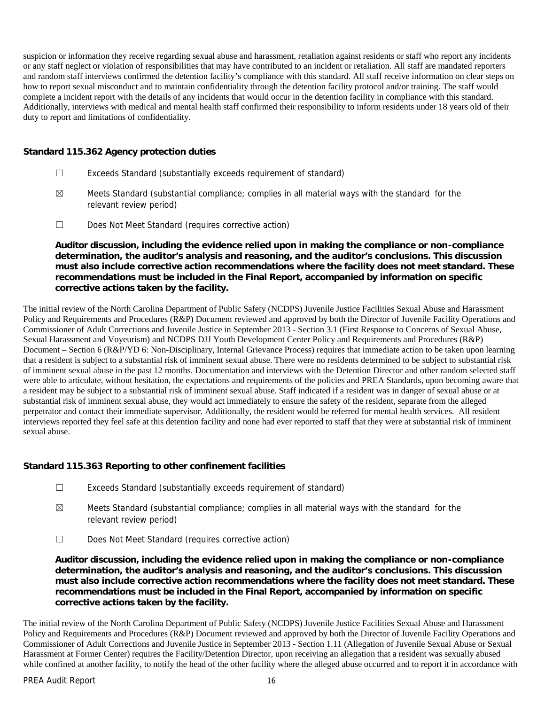suspicion or information they receive regarding sexual abuse and harassment, retaliation against residents or staff who report any incidents or any staff neglect or violation of responsibilities that may have contributed to an incident or retaliation. All staff are mandated reporters and random staff interviews confirmed the detention facility's compliance with this standard. All staff receive information on clear steps on how to report sexual misconduct and to maintain confidentiality through the detention facility protocol and/or training. The staff would complete a incident report with the details of any incidents that would occur in the detention facility in compliance with this standard. Additionally, interviews with medical and mental health staff confirmed their responsibility to inform residents under 18 years old of their duty to report and limitations of confidentiality.

#### **Standard 115.362 Agency protection duties**

- ☐ Exceeds Standard (substantially exceeds requirement of standard)
- $\boxtimes$  Meets Standard (substantial compliance; complies in all material ways with the standard for the relevant review period)
- ☐ Does Not Meet Standard (requires corrective action)

**Auditor discussion, including the evidence relied upon in making the compliance or non-compliance determination, the auditor's analysis and reasoning, and the auditor's conclusions. This discussion must also include corrective action recommendations where the facility does not meet standard. These recommendations must be included in the Final Report, accompanied by information on specific corrective actions taken by the facility.**

The initial review of the North Carolina Department of Public Safety (NCDPS) Juvenile Justice Facilities Sexual Abuse and Harassment Policy and Requirements and Procedures (R&P) Document reviewed and approved by both the Director of Juvenile Facility Operations and Commissioner of Adult Corrections and Juvenile Justice in September 2013 - Section 3.1 (First Response to Concerns of Sexual Abuse, Sexual Harassment and Voyeurism) and NCDPS DJJ Youth Development Center Policy and Requirements and Procedures (R&P) Document – Section 6 (R&P/YD 6: Non-Disciplinary, Internal Grievance Process) requires that immediate action to be taken upon learning that a resident is subject to a substantial risk of imminent sexual abuse. There were no residents determined to be subject to substantial risk of imminent sexual abuse in the past 12 months. Documentation and interviews with the Detention Director and other random selected staff were able to articulate, without hesitation, the expectations and requirements of the policies and PREA Standards, upon becoming aware that a resident may be subject to a substantial risk of imminent sexual abuse. Staff indicated if a resident was in danger of sexual abuse or at substantial risk of imminent sexual abuse, they would act immediately to ensure the safety of the resident, separate from the alleged perpetrator and contact their immediate supervisor. Additionally, the resident would be referred for mental health services. All resident interviews reported they feel safe at this detention facility and none had ever reported to staff that they were at substantial risk of imminent sexual abuse.

#### **Standard 115.363 Reporting to other confinement facilities**

- ☐ Exceeds Standard (substantially exceeds requirement of standard)
- $\boxtimes$  Meets Standard (substantial compliance; complies in all material ways with the standard for the relevant review period)
- ☐ Does Not Meet Standard (requires corrective action)

**Auditor discussion, including the evidence relied upon in making the compliance or non-compliance determination, the auditor's analysis and reasoning, and the auditor's conclusions. This discussion must also include corrective action recommendations where the facility does not meet standard. These recommendations must be included in the Final Report, accompanied by information on specific corrective actions taken by the facility.**

The initial review of the North Carolina Department of Public Safety (NCDPS) Juvenile Justice Facilities Sexual Abuse and Harassment Policy and Requirements and Procedures (R&P) Document reviewed and approved by both the Director of Juvenile Facility Operations and Commissioner of Adult Corrections and Juvenile Justice in September 2013 - Section 1.11 (Allegation of Juvenile Sexual Abuse or Sexual Harassment at Former Center) requires the Facility/Detention Director, upon receiving an allegation that a resident was sexually abused while confined at another facility, to notify the head of the other facility where the alleged abuse occurred and to report it in accordance with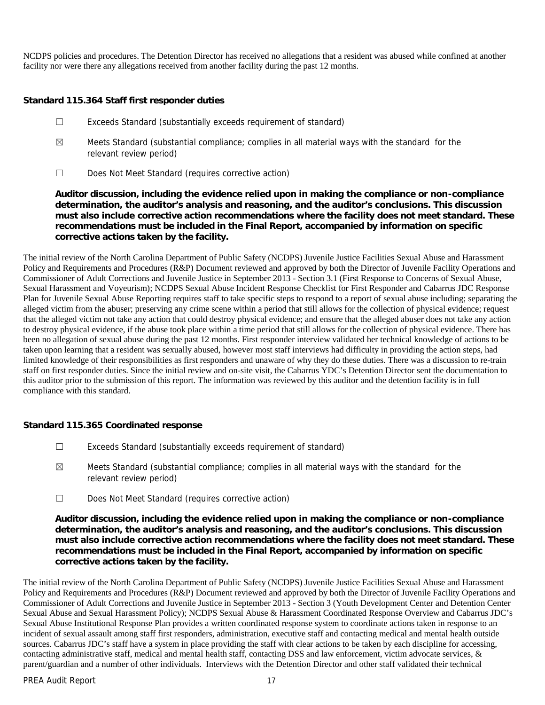NCDPS policies and procedures. The Detention Director has received no allegations that a resident was abused while confined at another facility nor were there any allegations received from another facility during the past 12 months.

**Standard 115.364 Staff first responder duties**

- ☐ Exceeds Standard (substantially exceeds requirement of standard)
- ☒ Meets Standard (substantial compliance; complies in all material ways with the standard for the relevant review period)
- ☐ Does Not Meet Standard (requires corrective action)

**Auditor discussion, including the evidence relied upon in making the compliance or non-compliance determination, the auditor's analysis and reasoning, and the auditor's conclusions. This discussion must also include corrective action recommendations where the facility does not meet standard. These recommendations must be included in the Final Report, accompanied by information on specific corrective actions taken by the facility.**

The initial review of the North Carolina Department of Public Safety (NCDPS) Juvenile Justice Facilities Sexual Abuse and Harassment Policy and Requirements and Procedures (R&P) Document reviewed and approved by both the Director of Juvenile Facility Operations and Commissioner of Adult Corrections and Juvenile Justice in September 2013 - Section 3.1 (First Response to Concerns of Sexual Abuse, Sexual Harassment and Voyeurism); NCDPS Sexual Abuse Incident Response Checklist for First Responder and Cabarrus JDC Response Plan for Juvenile Sexual Abuse Reporting requires staff to take specific steps to respond to a report of sexual abuse including; separating the alleged victim from the abuser; preserving any crime scene within a period that still allows for the collection of physical evidence; request that the alleged victim not take any action that could destroy physical evidence; and ensure that the alleged abuser does not take any action to destroy physical evidence, if the abuse took place within a time period that still allows for the collection of physical evidence. There has been no allegation of sexual abuse during the past 12 months. First responder interview validated her technical knowledge of actions to be taken upon learning that a resident was sexually abused, however most staff interviews had difficulty in providing the action steps, had limited knowledge of their responsibilities as first responders and unaware of why they do these duties. There was a discussion to re-train staff on first responder duties. Since the initial review and on-site visit, the Cabarrus YDC's Detention Director sent the documentation to this auditor prior to the submission of this report. The information was reviewed by this auditor and the detention facility is in full compliance with this standard.

**Standard 115.365 Coordinated response**

- ☐ Exceeds Standard (substantially exceeds requirement of standard)
- $\boxtimes$  Meets Standard (substantial compliance; complies in all material ways with the standard for the relevant review period)
- ☐ Does Not Meet Standard (requires corrective action)

**Auditor discussion, including the evidence relied upon in making the compliance or non-compliance determination, the auditor's analysis and reasoning, and the auditor's conclusions. This discussion must also include corrective action recommendations where the facility does not meet standard. These recommendations must be included in the Final Report, accompanied by information on specific corrective actions taken by the facility.**

The initial review of the North Carolina Department of Public Safety (NCDPS) Juvenile Justice Facilities Sexual Abuse and Harassment Policy and Requirements and Procedures (R&P) Document reviewed and approved by both the Director of Juvenile Facility Operations and Commissioner of Adult Corrections and Juvenile Justice in September 2013 - Section 3 (Youth Development Center and Detention Center Sexual Abuse and Sexual Harassment Policy); NCDPS Sexual Abuse & Harassment Coordinated Response Overview and Cabarrus JDC's Sexual Abuse Institutional Response Plan provides a written coordinated response system to coordinate actions taken in response to an incident of sexual assault among staff first responders, administration, executive staff and contacting medical and mental health outside sources. Cabarrus JDC's staff have a system in place providing the staff with clear actions to be taken by each discipline for accessing, contacting administrative staff, medical and mental health staff, contacting DSS and law enforcement, victim advocate services, & parent/guardian and a number of other individuals. Interviews with the Detention Director and other staff validated their technical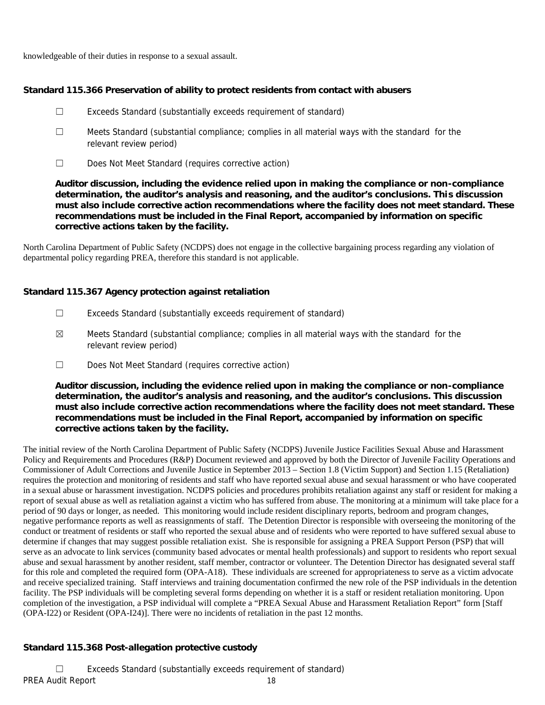knowledgeable of their duties in response to a sexual assault.

**Standard 115.366 Preservation of ability to protect residents from contact with abusers**

- ☐ Exceeds Standard (substantially exceeds requirement of standard)
- ☐ Meets Standard (substantial compliance; complies in all material ways with the standard for the relevant review period)
- ☐ Does Not Meet Standard (requires corrective action)

**Auditor discussion, including the evidence relied upon in making the compliance or non-compliance determination, the auditor's analysis and reasoning, and the auditor's conclusions. This discussion must also include corrective action recommendations where the facility does not meet standard. These recommendations must be included in the Final Report, accompanied by information on specific corrective actions taken by the facility.**

North Carolina Department of Public Safety (NCDPS) does not engage in the collective bargaining process regarding any violation of departmental policy regarding PREA, therefore this standard is not applicable.

**Standard 115.367 Agency protection against retaliation**

- ☐ Exceeds Standard (substantially exceeds requirement of standard)
- $\boxtimes$  Meets Standard (substantial compliance; complies in all material ways with the standard for the relevant review period)
- ☐ Does Not Meet Standard (requires corrective action)

**Auditor discussion, including the evidence relied upon in making the compliance or non-compliance determination, the auditor's analysis and reasoning, and the auditor's conclusions. This discussion must also include corrective action recommendations where the facility does not meet standard. These recommendations must be included in the Final Report, accompanied by information on specific corrective actions taken by the facility.**

The initial review of the North Carolina Department of Public Safety (NCDPS) Juvenile Justice Facilities Sexual Abuse and Harassment Policy and Requirements and Procedures (R&P) Document reviewed and approved by both the Director of Juvenile Facility Operations and Commissioner of Adult Corrections and Juvenile Justice in September 2013 – Section 1.8 (Victim Support) and Section 1.15 (Retaliation) requires the protection and monitoring of residents and staff who have reported sexual abuse and sexual harassment or who have cooperated in a sexual abuse or harassment investigation. NCDPS policies and procedures prohibits retaliation against any staff or resident for making a report of sexual abuse as well as retaliation against a victim who has suffered from abuse. The monitoring at a minimum will take place for a period of 90 days or longer, as needed. This monitoring would include resident disciplinary reports, bedroom and program changes, negative performance reports as well as reassignments of staff. The Detention Director is responsible with overseeing the monitoring of the conduct or treatment of residents or staff who reported the sexual abuse and of residents who were reported to have suffered sexual abuse to determine if changes that may suggest possible retaliation exist. She is responsible for assigning a PREA Support Person (PSP) that will serve as an advocate to link services (community based advocates or mental health professionals) and support to residents who report sexual abuse and sexual harassment by another resident, staff member, contractor or volunteer. The Detention Director has designated several staff for this role and completed the required form (OPA-A18). These individuals are screened for appropriateness to serve as a victim advocate and receive specialized training. Staff interviews and training documentation confirmed the new role of the PSP individuals in the detention facility. The PSP individuals will be completing several forms depending on whether it is a staff or resident retaliation monitoring. Upon completion of the investigation, a PSP individual will complete a "PREA Sexual Abuse and Harassment Retaliation Report" form [Staff (OPA-I22) or Resident (OPA-I24)]. There were no incidents of retaliation in the past 12 months.

# **Standard 115.368 Post-allegation protective custody**

PREA Audit Report 18 ☐ Exceeds Standard (substantially exceeds requirement of standard)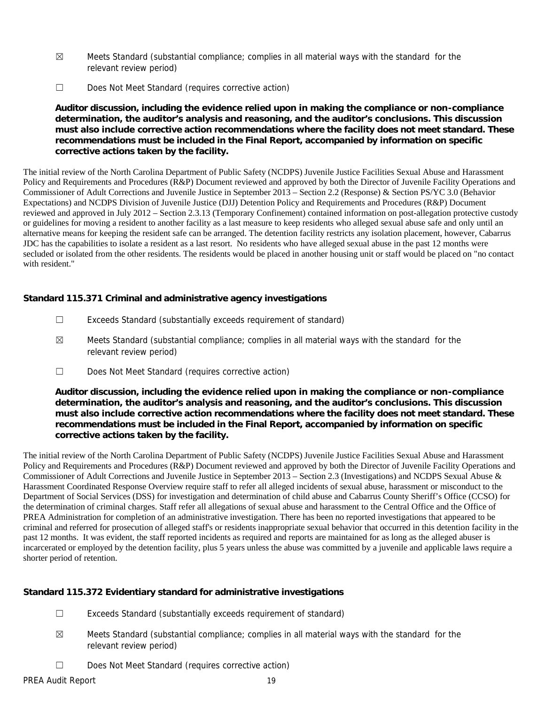- $\boxtimes$  Meets Standard (substantial compliance; complies in all material ways with the standard for the relevant review period)
- ☐ Does Not Meet Standard (requires corrective action)

**Auditor discussion, including the evidence relied upon in making the compliance or non-compliance determination, the auditor's analysis and reasoning, and the auditor's conclusions. This discussion must also include corrective action recommendations where the facility does not meet standard. These recommendations must be included in the Final Report, accompanied by information on specific corrective actions taken by the facility.**

The initial review of the North Carolina Department of Public Safety (NCDPS) Juvenile Justice Facilities Sexual Abuse and Harassment Policy and Requirements and Procedures (R&P) Document reviewed and approved by both the Director of Juvenile Facility Operations and Commissioner of Adult Corrections and Juvenile Justice in September 2013 – Section 2.2 (Response) & Section PS/YC 3.0 (Behavior Expectations) and NCDPS Division of Juvenile Justice (DJJ) Detention Policy and Requirements and Procedures (R&P) Document reviewed and approved in July 2012 – Section 2.3.13 (Temporary Confinement) contained information on post-allegation protective custody or guidelines for moving a resident to another facility as a last measure to keep residents who alleged sexual abuse safe and only until an alternative means for keeping the resident safe can be arranged. The detention facility restricts any isolation placement, however, Cabarrus JDC has the capabilities to isolate a resident as a last resort. No residents who have alleged sexual abuse in the past 12 months were secluded or isolated from the other residents. The residents would be placed in another housing unit or staff would be placed on "no contact with resident."

**Standard 115.371 Criminal and administrative agency investigations**

- ☐ Exceeds Standard (substantially exceeds requirement of standard)
- $\boxtimes$  Meets Standard (substantial compliance; complies in all material ways with the standard for the relevant review period)
- ☐ Does Not Meet Standard (requires corrective action)

**Auditor discussion, including the evidence relied upon in making the compliance or non-compliance determination, the auditor's analysis and reasoning, and the auditor's conclusions. This discussion must also include corrective action recommendations where the facility does not meet standard. These recommendations must be included in the Final Report, accompanied by information on specific corrective actions taken by the facility.**

The initial review of the North Carolina Department of Public Safety (NCDPS) Juvenile Justice Facilities Sexual Abuse and Harassment Policy and Requirements and Procedures (R&P) Document reviewed and approved by both the Director of Juvenile Facility Operations and Commissioner of Adult Corrections and Juvenile Justice in September 2013 – Section 2.3 (Investigations) and NCDPS Sexual Abuse & Harassment Coordinated Response Overview require staff to refer all alleged incidents of sexual abuse, harassment or misconduct to the Department of Social Services (DSS) for investigation and determination of child abuse and Cabarrus County Sheriff's Office (CCSO) for the determination of criminal charges. Staff refer all allegations of sexual abuse and harassment to the Central Office and the Office of PREA Administration for completion of an administrative investigation. There has been no reported investigations that appeared to be criminal and referred for prosecution of alleged staff's or residents inappropriate sexual behavior that occurred in this detention facility in the past 12 months. It was evident, the staff reported incidents as required and reports are maintained for as long as the alleged abuser is incarcerated or employed by the detention facility, plus 5 years unless the abuse was committed by a juvenile and applicable laws require a shorter period of retention.

**Standard 115.372 Evidentiary standard for administrative investigations**

- ☐ Exceeds Standard (substantially exceeds requirement of standard)
- $\boxtimes$  Meets Standard (substantial compliance; complies in all material ways with the standard for the relevant review period)
- ☐ Does Not Meet Standard (requires corrective action)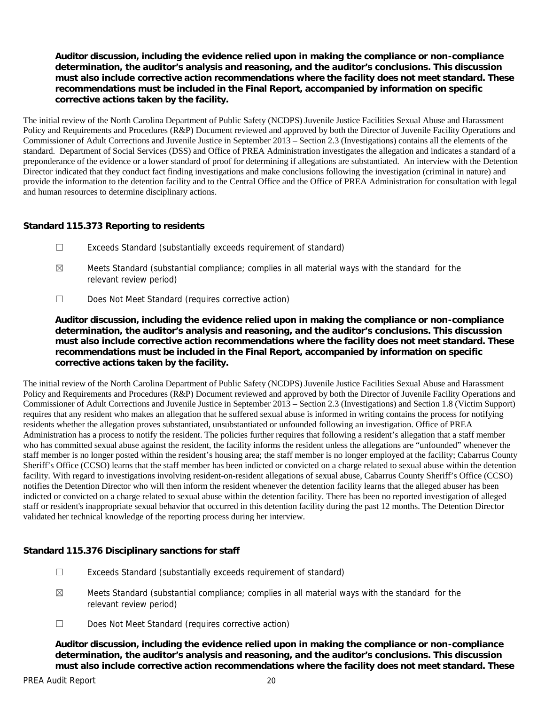**Auditor discussion, including the evidence relied upon in making the compliance or non-compliance determination, the auditor's analysis and reasoning, and the auditor's conclusions. This discussion must also include corrective action recommendations where the facility does not meet standard. These recommendations must be included in the Final Report, accompanied by information on specific corrective actions taken by the facility.**

The initial review of the North Carolina Department of Public Safety (NCDPS) Juvenile Justice Facilities Sexual Abuse and Harassment Policy and Requirements and Procedures (R&P) Document reviewed and approved by both the Director of Juvenile Facility Operations and Commissioner of Adult Corrections and Juvenile Justice in September 2013 – Section 2.3 (Investigations) contains all the elements of the standard. Department of Social Services (DSS) and Office of PREA Administration investigates the allegation and indicates a standard of a preponderance of the evidence or a lower standard of proof for determining if allegations are substantiated. An interview with the Detention Director indicated that they conduct fact finding investigations and make conclusions following the investigation (criminal in nature) and provide the information to the detention facility and to the Central Office and the Office of PREA Administration for consultation with legal and human resources to determine disciplinary actions.

#### **Standard 115.373 Reporting to residents**

- ☐ Exceeds Standard (substantially exceeds requirement of standard)
- ☒ Meets Standard (substantial compliance; complies in all material ways with the standard for the relevant review period)
- ☐ Does Not Meet Standard (requires corrective action)

**Auditor discussion, including the evidence relied upon in making the compliance or non-compliance determination, the auditor's analysis and reasoning, and the auditor's conclusions. This discussion must also include corrective action recommendations where the facility does not meet standard. These recommendations must be included in the Final Report, accompanied by information on specific corrective actions taken by the facility.**

The initial review of the North Carolina Department of Public Safety (NCDPS) Juvenile Justice Facilities Sexual Abuse and Harassment Policy and Requirements and Procedures (R&P) Document reviewed and approved by both the Director of Juvenile Facility Operations and Commissioner of Adult Corrections and Juvenile Justice in September 2013 – Section 2.3 (Investigations) and Section 1.8 (Victim Support) requires that any resident who makes an allegation that he suffered sexual abuse is informed in writing contains the process for notifying residents whether the allegation proves substantiated, unsubstantiated or unfounded following an investigation. Office of PREA Administration has a process to notify the resident. The policies further requires that following a resident's allegation that a staff member who has committed sexual abuse against the resident, the facility informs the resident unless the allegations are "unfounded" whenever the staff member is no longer posted within the resident's housing area; the staff member is no longer employed at the facility; Cabarrus County Sheriff's Office (CCSO) learns that the staff member has been indicted or convicted on a charge related to sexual abuse within the detention facility. With regard to investigations involving resident-on-resident allegations of sexual abuse, Cabarrus County Sheriff's Office (CCSO) notifies the Detention Director who will then inform the resident whenever the detention facility learns that the alleged abuser has been indicted or convicted on a charge related to sexual abuse within the detention facility. There has been no reported investigation of alleged staff or resident's inappropriate sexual behavior that occurred in this detention facility during the past 12 months. The Detention Director validated her technical knowledge of the reporting process during her interview.

**Standard 115.376 Disciplinary sanctions for staff**

- ☐ Exceeds Standard (substantially exceeds requirement of standard)
- $\boxtimes$  Meets Standard (substantial compliance; complies in all material ways with the standard for the relevant review period)
- ☐ Does Not Meet Standard (requires corrective action)

**Auditor discussion, including the evidence relied upon in making the compliance or non-compliance determination, the auditor's analysis and reasoning, and the auditor's conclusions. This discussion must also include corrective action recommendations where the facility does not meet standard. These**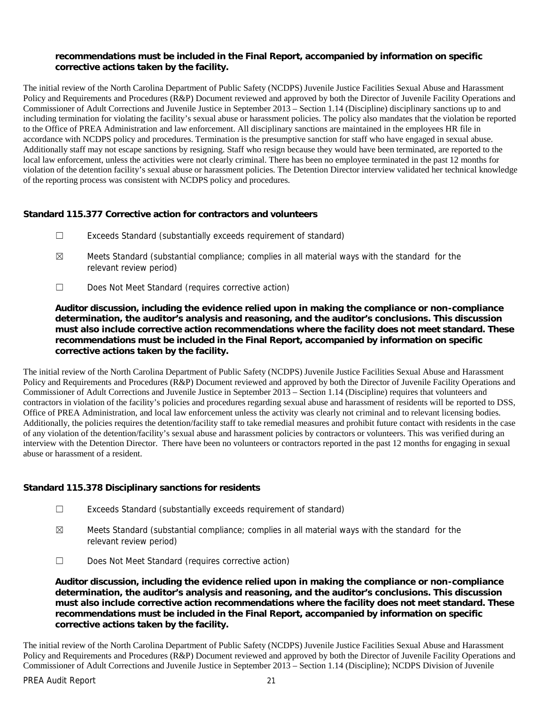**recommendations must be included in the Final Report, accompanied by information on specific corrective actions taken by the facility.**

The initial review of the North Carolina Department of Public Safety (NCDPS) Juvenile Justice Facilities Sexual Abuse and Harassment Policy and Requirements and Procedures (R&P) Document reviewed and approved by both the Director of Juvenile Facility Operations and Commissioner of Adult Corrections and Juvenile Justice in September 2013 – Section 1.14 (Discipline) disciplinary sanctions up to and including termination for violating the facility's sexual abuse or harassment policies. The policy also mandates that the violation be reported to the Office of PREA Administration and law enforcement. All disciplinary sanctions are maintained in the employees HR file in accordance with NCDPS policy and procedures. Termination is the presumptive sanction for staff who have engaged in sexual abuse. Additionally staff may not escape sanctions by resigning. Staff who resign because they would have been terminated, are reported to the local law enforcement, unless the activities were not clearly criminal. There has been no employee terminated in the past 12 months for violation of the detention facility's sexual abuse or harassment policies. The Detention Director interview validated her technical knowledge of the reporting process was consistent with NCDPS policy and procedures.

**Standard 115.377 Corrective action for contractors and volunteers**

- ☐ Exceeds Standard (substantially exceeds requirement of standard)
- $\boxtimes$  Meets Standard (substantial compliance; complies in all material ways with the standard for the relevant review period)
- ☐ Does Not Meet Standard (requires corrective action)

**Auditor discussion, including the evidence relied upon in making the compliance or non-compliance determination, the auditor's analysis and reasoning, and the auditor's conclusions. This discussion must also include corrective action recommendations where the facility does not meet standard. These recommendations must be included in the Final Report, accompanied by information on specific corrective actions taken by the facility.**

The initial review of the North Carolina Department of Public Safety (NCDPS) Juvenile Justice Facilities Sexual Abuse and Harassment Policy and Requirements and Procedures (R&P) Document reviewed and approved by both the Director of Juvenile Facility Operations and Commissioner of Adult Corrections and Juvenile Justice in September 2013 – Section 1.14 (Discipline) requires that volunteers and contractors in violation of the facility's policies and procedures regarding sexual abuse and harassment of residents will be reported to DSS, Office of PREA Administration, and local law enforcement unless the activity was clearly not criminal and to relevant licensing bodies. Additionally, the policies requires the detention/facility staff to take remedial measures and prohibit future contact with residents in the case of any violation of the detention/facility's sexual abuse and harassment policies by contractors or volunteers. This was verified during an interview with the Detention Director. There have been no volunteers or contractors reported in the past 12 months for engaging in sexual abuse or harassment of a resident.

**Standard 115.378 Disciplinary sanctions for residents**

- ☐ Exceeds Standard (substantially exceeds requirement of standard)
- $\boxtimes$  Meets Standard (substantial compliance; complies in all material ways with the standard for the relevant review period)
- ☐ Does Not Meet Standard (requires corrective action)

**Auditor discussion, including the evidence relied upon in making the compliance or non-compliance determination, the auditor's analysis and reasoning, and the auditor's conclusions. This discussion must also include corrective action recommendations where the facility does not meet standard. These recommendations must be included in the Final Report, accompanied by information on specific corrective actions taken by the facility.**

The initial review of the North Carolina Department of Public Safety (NCDPS) Juvenile Justice Facilities Sexual Abuse and Harassment Policy and Requirements and Procedures (R&P) Document reviewed and approved by both the Director of Juvenile Facility Operations and Commissioner of Adult Corrections and Juvenile Justice in September 2013 – Section 1.14 (Discipline); NCDPS Division of Juvenile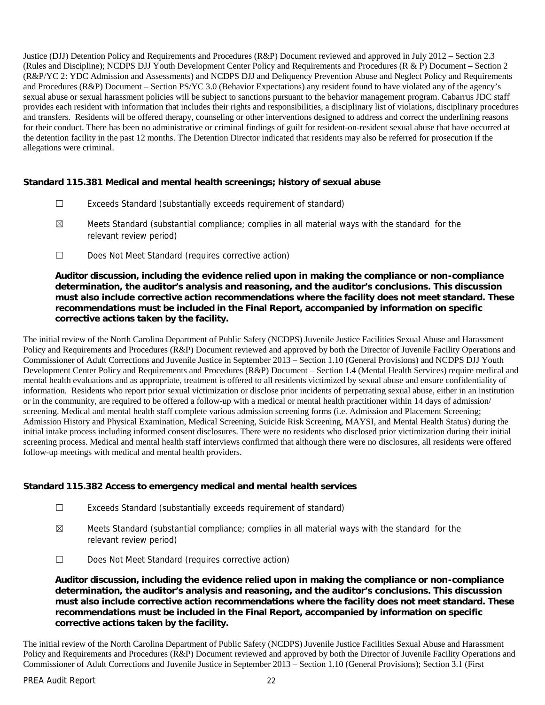Justice (DJJ) Detention Policy and Requirements and Procedures (R&P) Document reviewed and approved in July 2012 – Section 2.3 (Rules and Discipline); NCDPS DJJ Youth Development Center Policy and Requirements and Procedures (R & P) Document – Section 2 (R&P/YC 2: YDC Admission and Assessments) and NCDPS DJJ and Deliquency Prevention Abuse and Neglect Policy and Requirements and Procedures (R&P) Document – Section PS/YC 3.0 (Behavior Expectations) any resident found to have violated any of the agency's sexual abuse or sexual harassment policies will be subject to sanctions pursuant to the behavior management program. Cabarrus JDC staff provides each resident with information that includes their rights and responsibilities, a disciplinary list of violations, disciplinary procedures and transfers. Residents will be offered therapy, counseling or other interventions designed to address and correct the underlining reasons for their conduct. There has been no administrative or criminal findings of guilt for resident-on-resident sexual abuse that have occurred at the detention facility in the past 12 months. The Detention Director indicated that residents may also be referred for prosecution if the allegations were criminal.

**Standard 115.381 Medical and mental health screenings; history of sexual abuse**

- ☐ Exceeds Standard (substantially exceeds requirement of standard)
- ☒ Meets Standard (substantial compliance; complies in all material ways with the standard for the relevant review period)
- ☐ Does Not Meet Standard (requires corrective action)

**Auditor discussion, including the evidence relied upon in making the compliance or non-compliance determination, the auditor's analysis and reasoning, and the auditor's conclusions. This discussion must also include corrective action recommendations where the facility does not meet standard. These recommendations must be included in the Final Report, accompanied by information on specific corrective actions taken by the facility.**

The initial review of the North Carolina Department of Public Safety (NCDPS) Juvenile Justice Facilities Sexual Abuse and Harassment Policy and Requirements and Procedures (R&P) Document reviewed and approved by both the Director of Juvenile Facility Operations and Commissioner of Adult Corrections and Juvenile Justice in September 2013 – Section 1.10 (General Provisions) and NCDPS DJJ Youth Development Center Policy and Requirements and Procedures (R&P) Document – Section 1.4 (Mental Health Services) require medical and mental health evaluations and as appropriate, treatment is offered to all residents victimized by sexual abuse and ensure confidentiality of information. Residents who report prior sexual victimization or disclose prior incidents of perpetrating sexual abuse, either in an institution or in the community, are required to be offered a follow-up with a medical or mental health practitioner within 14 days of admission/ screening. Medical and mental health staff complete various admission screening forms (i.e. Admission and Placement Screening; Admission History and Physical Examination, Medical Screening, Suicide Risk Screening, MAYSI, and Mental Health Status) during the initial intake process including informed consent disclosures. There were no residents who disclosed prior victimization during their initial screening process. Medical and mental health staff interviews confirmed that although there were no disclosures, all residents were offered follow-up meetings with medical and mental health providers.

**Standard 115.382 Access to emergency medical and mental health services**

- ☐ Exceeds Standard (substantially exceeds requirement of standard)
- $\boxtimes$  Meets Standard (substantial compliance; complies in all material ways with the standard for the relevant review period)
- ☐ Does Not Meet Standard (requires corrective action)

**Auditor discussion, including the evidence relied upon in making the compliance or non-compliance determination, the auditor's analysis and reasoning, and the auditor's conclusions. This discussion must also include corrective action recommendations where the facility does not meet standard. These recommendations must be included in the Final Report, accompanied by information on specific corrective actions taken by the facility.**

The initial review of the North Carolina Department of Public Safety (NCDPS) Juvenile Justice Facilities Sexual Abuse and Harassment Policy and Requirements and Procedures (R&P) Document reviewed and approved by both the Director of Juvenile Facility Operations and Commissioner of Adult Corrections and Juvenile Justice in September 2013 – Section 1.10 (General Provisions); Section 3.1 (First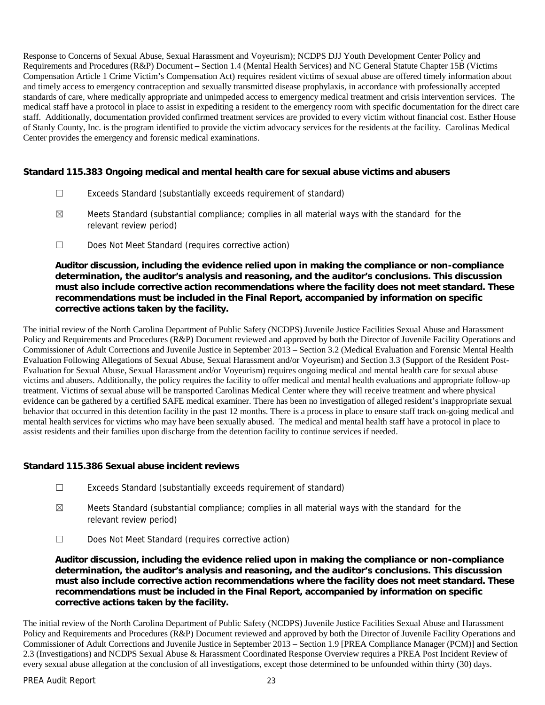Response to Concerns of Sexual Abuse, Sexual Harassment and Voyeurism); NCDPS DJJ Youth Development Center Policy and Requirements and Procedures (R&P) Document – Section 1.4 (Mental Health Services) and NC General Statute Chapter 15B (Victims Compensation Article 1 Crime Victim's Compensation Act) requires resident victims of sexual abuse are offered timely information about and timely access to emergency contraception and sexually transmitted disease prophylaxis, in accordance with professionally accepted standards of care, where medically appropriate and unimpeded access to emergency medical treatment and crisis intervention services. The medical staff have a protocol in place to assist in expediting a resident to the emergency room with specific documentation for the direct care staff. Additionally, documentation provided confirmed treatment services are provided to every victim without financial cost. Esther House of Stanly County, Inc. is the program identified to provide the victim advocacy services for the residents at the facility. Carolinas Medical Center provides the emergency and forensic medical examinations.

**Standard 115.383 Ongoing medical and mental health care for sexual abuse victims and abusers**

- ☐ Exceeds Standard (substantially exceeds requirement of standard)
- $\boxtimes$  Meets Standard (substantial compliance; complies in all material ways with the standard for the relevant review period)
- ☐ Does Not Meet Standard (requires corrective action)

**Auditor discussion, including the evidence relied upon in making the compliance or non-compliance determination, the auditor's analysis and reasoning, and the auditor's conclusions. This discussion must also include corrective action recommendations where the facility does not meet standard. These recommendations must be included in the Final Report, accompanied by information on specific corrective actions taken by the facility.**

The initial review of the North Carolina Department of Public Safety (NCDPS) Juvenile Justice Facilities Sexual Abuse and Harassment Policy and Requirements and Procedures (R&P) Document reviewed and approved by both the Director of Juvenile Facility Operations and Commissioner of Adult Corrections and Juvenile Justice in September 2013 – Section 3.2 (Medical Evaluation and Forensic Mental Health Evaluation Following Allegations of Sexual Abuse, Sexual Harassment and/or Voyeurism) and Section 3.3 (Support of the Resident Post- Evaluation for Sexual Abuse, Sexual Harassment and/or Voyeurism) requires ongoing medical and mental health care for sexual abuse victims and abusers. Additionally, the policy requires the facility to offer medical and mental health evaluations and appropriate follow-up treatment. Victims of sexual abuse will be transported Carolinas Medical Center where they will receive treatment and where physical evidence can be gathered by a certified SAFE medical examiner. There has been no investigation of alleged resident's inappropriate sexual behavior that occurred in this detention facility in the past 12 months. There is a process in place to ensure staff track on-going medical and mental health services for victims who may have been sexually abused. The medical and mental health staff have a protocol in place to assist residents and their families upon discharge from the detention facility to continue services if needed.

**Standard 115.386 Sexual abuse incident reviews**

- ☐ Exceeds Standard (substantially exceeds requirement of standard)
- $\boxtimes$  Meets Standard (substantial compliance; complies in all material ways with the standard for the relevant review period)
- ☐ Does Not Meet Standard (requires corrective action)

**Auditor discussion, including the evidence relied upon in making the compliance or non-compliance determination, the auditor's analysis and reasoning, and the auditor's conclusions. This discussion must also include corrective action recommendations where the facility does not meet standard. These recommendations must be included in the Final Report, accompanied by information on specific corrective actions taken by the facility.**

The initial review of the North Carolina Department of Public Safety (NCDPS) Juvenile Justice Facilities Sexual Abuse and Harassment Policy and Requirements and Procedures (R&P) Document reviewed and approved by both the Director of Juvenile Facility Operations and Commissioner of Adult Corrections and Juvenile Justice in September 2013 – Section 1.9 [PREA Compliance Manager (PCM)] and Section 2.3 (Investigations) and NCDPS Sexual Abuse & Harassment Coordinated Response Overview requires a PREA Post Incident Review of every sexual abuse allegation at the conclusion of all investigations, except those determined to be unfounded within thirty (30) days.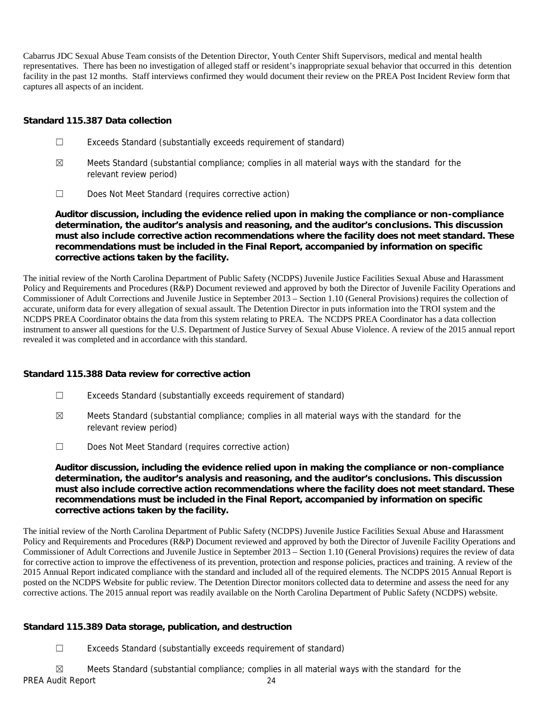Cabarrus JDC Sexual Abuse Team consists of the Detention Director, Youth Center Shift Supervisors, medical and mental health representatives. There has been no investigation of alleged staff or resident's inappropriate sexual behavior that occurred in this detention facility in the past 12 months. Staff interviews confirmed they would document their review on the PREA Post Incident Review form that captures all aspects of an incident.

#### **Standard 115.387 Data collection**

- ☐ Exceeds Standard (substantially exceeds requirement of standard)
- $\boxtimes$  Meets Standard (substantial compliance; complies in all material ways with the standard for the relevant review period)
- ☐ Does Not Meet Standard (requires corrective action)

**Auditor discussion, including the evidence relied upon in making the compliance or non-compliance determination, the auditor's analysis and reasoning, and the auditor's conclusions. This discussion must also include corrective action recommendations where the facility does not meet standard. These recommendations must be included in the Final Report, accompanied by information on specific corrective actions taken by the facility.**

The initial review of the North Carolina Department of Public Safety (NCDPS) Juvenile Justice Facilities Sexual Abuse and Harassment Policy and Requirements and Procedures (R&P) Document reviewed and approved by both the Director of Juvenile Facility Operations and Commissioner of Adult Corrections and Juvenile Justice in September 2013 – Section 1.10 (General Provisions) requires the collection of accurate, uniform data for every allegation of sexual assault. The Detention Director in puts information into the TROI system and the NCDPS PREA Coordinator obtains the data from this system relating to PREA. The NCDPS PREA Coordinator has a data collection instrument to answer all questions for the U.S. Department of Justice Survey of Sexual Abuse Violence. A review of the 2015 annual report revealed it was completed and in accordance with this standard.

**Standard 115.388 Data review for corrective action**

- ☐ Exceeds Standard (substantially exceeds requirement of standard)
- ☒ Meets Standard (substantial compliance; complies in all material ways with the standard for the relevant review period)
- ☐ Does Not Meet Standard (requires corrective action)

**Auditor discussion, including the evidence relied upon in making the compliance or non-compliance determination, the auditor's analysis and reasoning, and the auditor's conclusions. This discussion must also include corrective action recommendations where the facility does not meet standard. These recommendations must be included in the Final Report, accompanied by information on specific corrective actions taken by the facility.**

The initial review of the North Carolina Department of Public Safety (NCDPS) Juvenile Justice Facilities Sexual Abuse and Harassment Policy and Requirements and Procedures (R&P) Document reviewed and approved by both the Director of Juvenile Facility Operations and Commissioner of Adult Corrections and Juvenile Justice in September 2013 – Section 1.10 (General Provisions) requires the review of data for corrective action to improve the effectiveness of its prevention, protection and response policies, practices and training. A review of the 2015 Annual Report indicated compliance with the standard and included all of the required elements. The NCDPS 2015 Annual Report is posted on the NCDPS Website for public review. The Detention Director monitors collected data to determine and assess the need for any corrective actions. The 2015 annual report was readily available on the North Carolina Department of Public Safety (NCDPS) website.

#### **Standard 115.389 Data storage, publication, and destruction**

☐ Exceeds Standard (substantially exceeds requirement of standard)

PREA Audit Report 24  $\boxtimes$  Meets Standard (substantial compliance; complies in all material ways with the standard for the